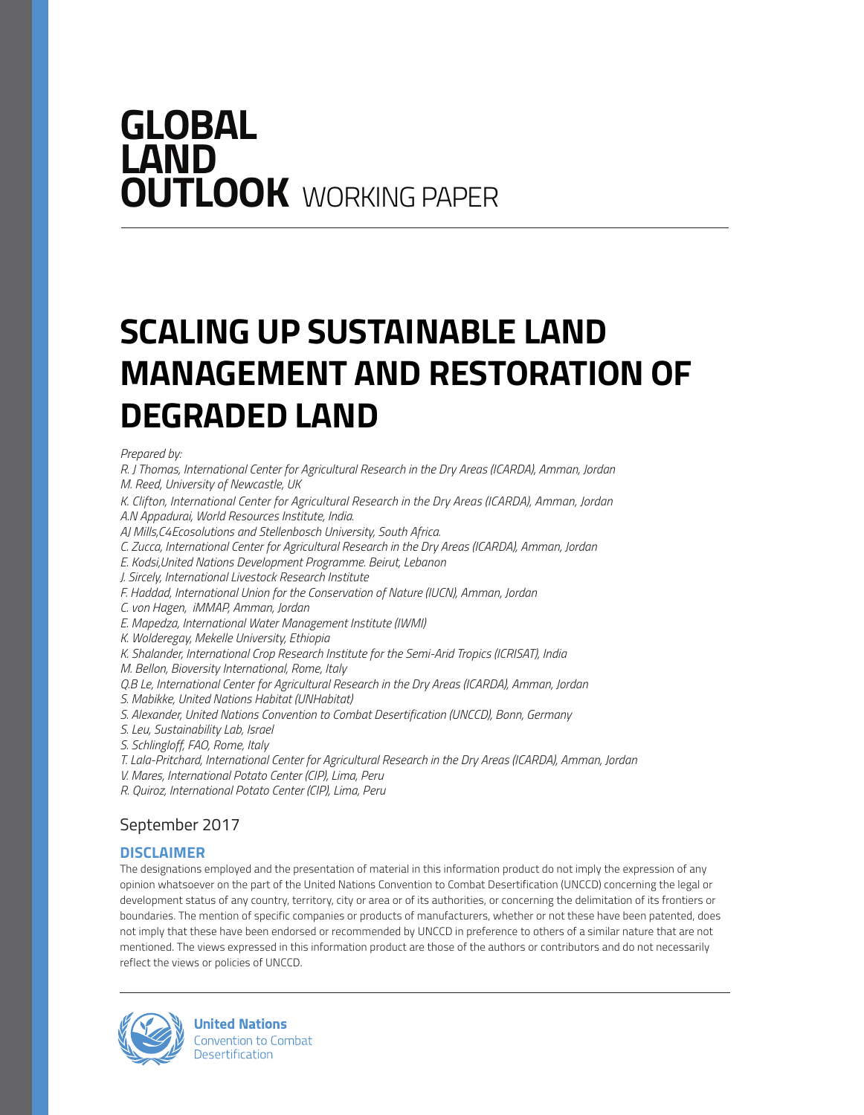# **GLOBAL LAND OUTLOOK** WORKING PAPER

# **SCALING UP SUSTAINABLE LAND MANAGEMENT AND RESTORATION OF DEGRADED LAND**

#### *Prepared by:*

*R. J Thomas, International Center for Agricultural Research in the Dry Areas (ICARDA), Amman, Jordan M. Reed, University of Newcastle, UK*

*K. Clifton, International Center for Agricultural Research in the Dry Areas (ICARDA), Amman, Jordan A.N Appadurai, World Resources Institute, India.* 

*AJ Mills,C4Ecosolutions and Stellenbosch University, South Africa.* 

*C. Zucca, International Center for Agricultural Research in the Dry Areas (ICARDA), Amman, Jordan*

*E. Kodsi,United Nations Development Programme. Beirut, Lebanon* 

*J. Sircely, International Livestock Research Institute*

*F. Haddad, International Union for the Conservation of Nature (IUCN), Amman, Jordan*

*C. von Hagen, iMMAP, Amman, Jordan* 

*E. Mapedza, International Water Management Institute (IWMI)*

*K. Wolderegay, Mekelle University, Ethiopia* 

*K. Shalander, International Crop Research Institute for the Semi-Arid Tropics (ICRISAT), India* 

*M. Bellon, Bioversity International, Rome, Italy* 

*Q.B Le, International Center for Agricultural Research in the Dry Areas (ICARDA), Amman, Jordan* 

*S. Mabikke, United Nations Habitat (UNHabitat)* 

*S. Alexander, United Nations Convention to Combat Desertification (UNCCD), Bonn, Germany* 

*S. Leu, Sustainability Lab, Israel* 

*S. Schlingloff, FAO, Rome, Italy* 

*T. Lala-Pritchard, International Center for Agricultural Research in the Dry Areas (ICARDA), Amman, Jordan* 

*V. Mares, International Potato Center (CIP), Lima, Peru* 

*R. Quiroz, International Potato Center (CIP), Lima, Peru* 

## September 2017

#### **DISCLAIMER**

The designations employed and the presentation of material in this information product do not imply the expression of any opinion whatsoever on the part of the United Nations Convention to Combat Desertification (UNCCD) concerning the legal or development status of any country, territory, city or area or of its authorities, or concerning the delimitation of its frontiers or boundaries. The mention of specific companies or products of manufacturers, whether or not these have been patented, does not imply that these have been endorsed or recommended by UNCCD in preference to others of a similar nature that are not mentioned. The views expressed in this information product are those of the authors or contributors and do not necessarily reflect the views or policies of UNCCD.



**United Nations Convention to Combat Desertification**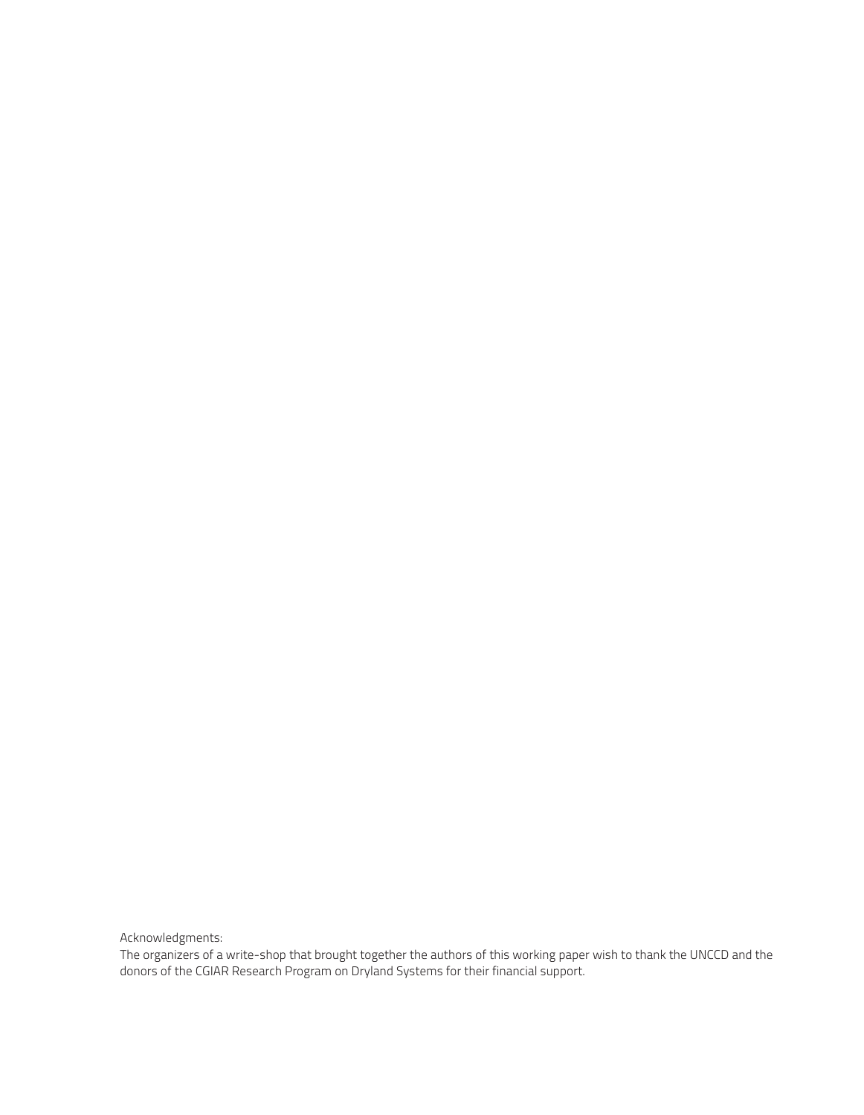Acknowledgments:

The organizers of a write-shop that brought together the authors of this working paper wish to thank the UNCCD and the donors of the CGIAR Research Program on Dryland Systems for their financial support.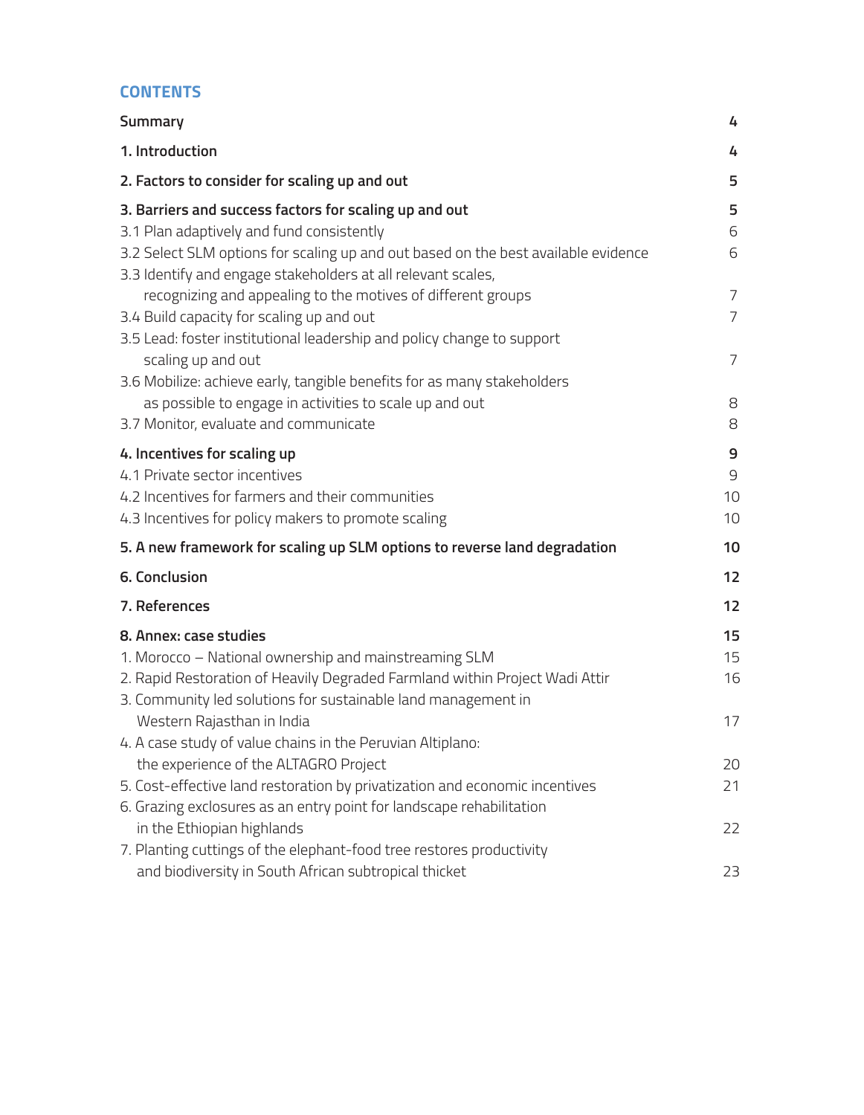## **CONTENTS**

| Summary                                                                            | 4              |
|------------------------------------------------------------------------------------|----------------|
| 1. Introduction                                                                    | 4              |
| 2. Factors to consider for scaling up and out                                      | 5              |
| 3. Barriers and success factors for scaling up and out                             | 5              |
| 3.1 Plan adaptively and fund consistently                                          | 6              |
| 3.2 Select SLM options for scaling up and out based on the best available evidence | 6              |
| 3.3 Identify and engage stakeholders at all relevant scales,                       |                |
| recognizing and appealing to the motives of different groups                       | $\overline{7}$ |
| 3.4 Build capacity for scaling up and out                                          | $\overline{7}$ |
| 3.5 Lead: foster institutional leadership and policy change to support             |                |
| scaling up and out                                                                 | $\overline{7}$ |
| 3.6 Mobilize: achieve early, tangible benefits for as many stakeholders            |                |
| as possible to engage in activities to scale up and out                            | 8              |
| 3.7 Monitor, evaluate and communicate                                              | 8              |
| 4. Incentives for scaling up                                                       | 9              |
| 4.1 Private sector incentives                                                      | $\mathcal{G}$  |
| 4.2 Incentives for farmers and their communities                                   | 10             |
| 4.3 Incentives for policy makers to promote scaling                                | 10             |
| 5. A new framework for scaling up SLM options to reverse land degradation          | 10             |
| 6. Conclusion                                                                      | 12             |
| 7. References                                                                      | 12             |
| 8. Annex: case studies                                                             | 15             |
| 1. Morocco - National ownership and mainstreaming SLM                              | 15             |
| 2. Rapid Restoration of Heavily Degraded Farmland within Project Wadi Attir        | 16             |
| 3. Community led solutions for sustainable land management in                      |                |
| Western Rajasthan in India                                                         | 17             |
| 4. A case study of value chains in the Peruvian Altiplano:                         |                |
| the experience of the ALTAGRO Project                                              | 20             |
| 5. Cost-effective land restoration by privatization and economic incentives        | 21             |
| 6. Grazing exclosures as an entry point for landscape rehabilitation               |                |
| in the Ethiopian highlands                                                         | 22             |
| 7. Planting cuttings of the elephant-food tree restores productivity               |                |
| and biodiversity in South African subtropical thicket                              | 23             |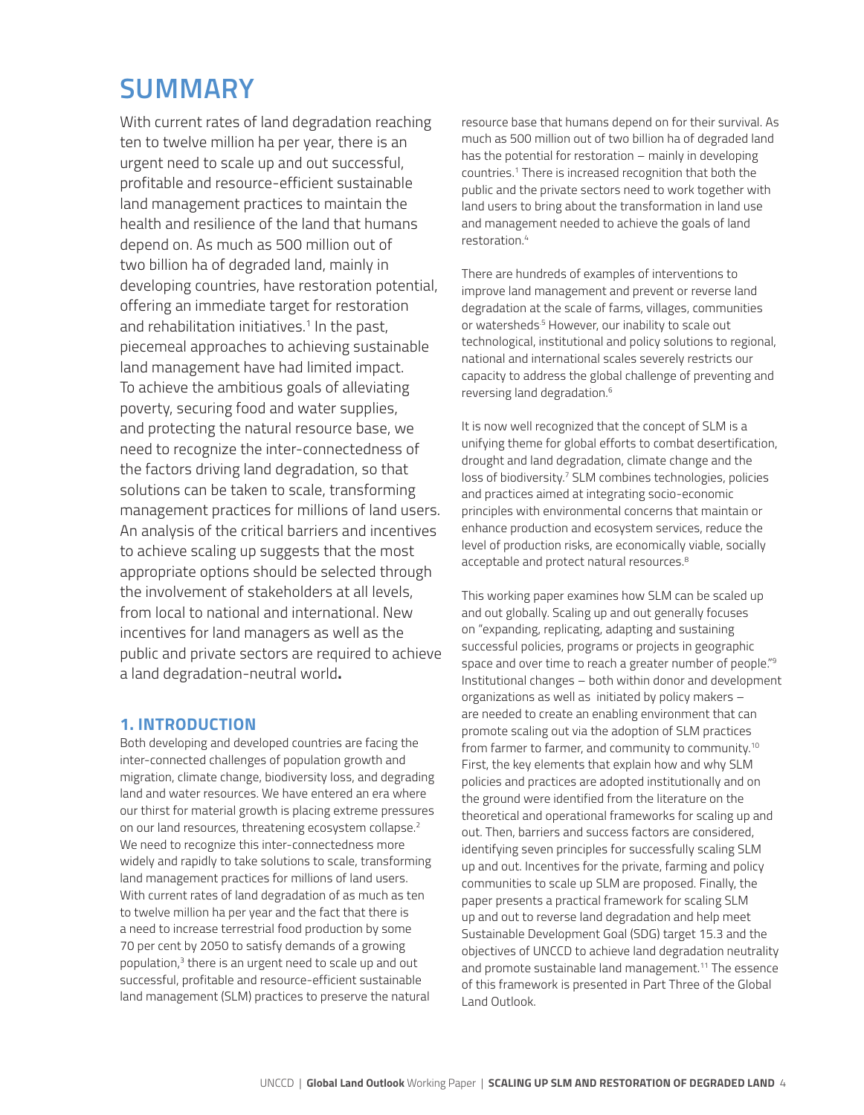## **SUMMARY**

With current rates of land degradation reaching ten to twelve million ha per year, there is an urgent need to scale up and out successful, profitable and resource-efficient sustainable land management practices to maintain the health and resilience of the land that humans depend on. As much as 500 million out of two billion ha of degraded land, mainly in developing countries, have restoration potential, offering an immediate target for restoration and rehabilitation initiatives.<sup>1</sup> In the past, piecemeal approaches to achieving sustainable land management have had limited impact. To achieve the ambitious goals of alleviating poverty, securing food and water supplies, and protecting the natural resource base, we need to recognize the inter-connectedness of the factors driving land degradation, so that solutions can be taken to scale, transforming management practices for millions of land users. An analysis of the critical barriers and incentives to achieve scaling up suggests that the most appropriate options should be selected through the involvement of stakeholders at all levels, from local to national and international. New incentives for land managers as well as the public and private sectors are required to achieve a land degradation-neutral world**.**

## **1. INTRODUCTION**

Both developing and developed countries are facing the inter-connected challenges of population growth and migration, climate change, biodiversity loss, and degrading land and water resources. We have entered an era where our thirst for material growth is placing extreme pressures on our land resources, threatening ecosystem collapse.<sup>2</sup> We need to recognize this inter-connectedness more widely and rapidly to take solutions to scale, transforming land management practices for millions of land users. With current rates of land degradation of as much as ten to twelve million ha per year and the fact that there is a need to increase terrestrial food production by some 70 per cent by 2050 to satisfy demands of a growing population,<sup>3</sup> there is an urgent need to scale up and out successful, profitable and resource-efficient sustainable land management (SLM) practices to preserve the natural

resource base that humans depend on for their survival. As much as 500 million out of two billion ha of degraded land has the potential for restoration – mainly in developing countries.1 There is increased recognition that both the public and the private sectors need to work together with land users to bring about the transformation in land use and management needed to achieve the goals of land restoration.4

There are hundreds of examples of interventions to improve land management and prevent or reverse land degradation at the scale of farms, villages, communities or watersheds<sup>5</sup> However, our inability to scale out technological, institutional and policy solutions to regional, national and international scales severely restricts our capacity to address the global challenge of preventing and reversing land degradation.6

It is now well recognized that the concept of SLM is a unifying theme for global efforts to combat desertification, drought and land degradation, climate change and the loss of biodiversity.<sup>7</sup> SLM combines technologies, policies and practices aimed at integrating socio-economic principles with environmental concerns that maintain or enhance production and ecosystem services, reduce the level of production risks, are economically viable, socially acceptable and protect natural resources.<sup>8</sup>

This working paper examines how SLM can be scaled up and out globally. Scaling up and out generally focuses on "expanding, replicating, adapting and sustaining successful policies, programs or projects in geographic space and over time to reach a greater number of people."9 Institutional changes – both within donor and development organizations as well as initiated by policy makers – are needed to create an enabling environment that can promote scaling out via the adoption of SLM practices from farmer to farmer, and community to community.10 First, the key elements that explain how and why SLM policies and practices are adopted institutionally and on the ground were identified from the literature on the theoretical and operational frameworks for scaling up and out. Then, barriers and success factors are considered, identifying seven principles for successfully scaling SLM up and out. Incentives for the private, farming and policy communities to scale up SLM are proposed. Finally, the paper presents a practical framework for scaling SLM up and out to reverse land degradation and help meet Sustainable Development Goal (SDG) target 15.3 and the objectives of UNCCD to achieve land degradation neutrality and promote sustainable land management.<sup>11</sup> The essence of this framework is presented in Part Three of the Global Land Outlook.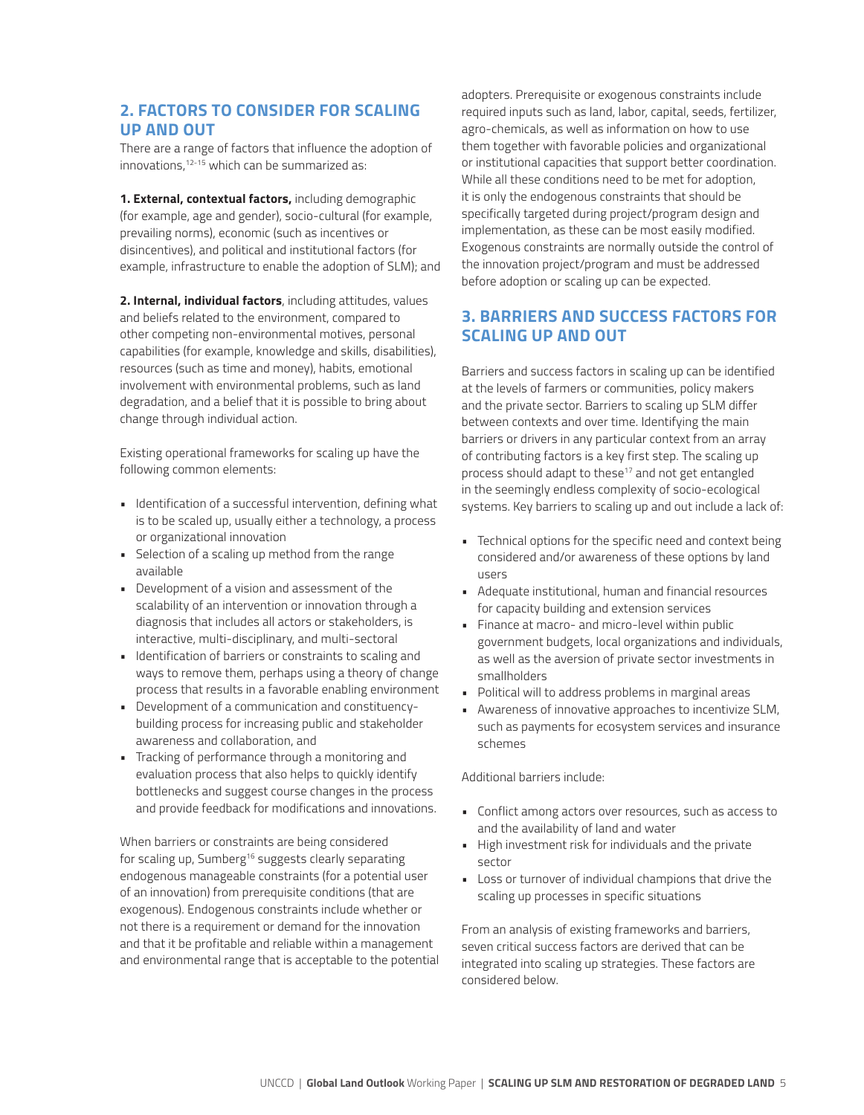## **2. FACTORS TO CONSIDER FOR SCALING UP AND OUT**

There are a range of factors that influence the adoption of innovations,<sup>12-15</sup> which can be summarized as:

**1. External, contextual factors,** including demographic (for example, age and gender), socio-cultural (for example, prevailing norms), economic (such as incentives or disincentives), and political and institutional factors (for example, infrastructure to enable the adoption of SLM); and

**2. Internal, individual factors**, including attitudes, values and beliefs related to the environment, compared to other competing non-environmental motives, personal capabilities (for example, knowledge and skills, disabilities), resources (such as time and money), habits, emotional involvement with environmental problems, such as land degradation, and a belief that it is possible to bring about change through individual action.

Existing operational frameworks for scaling up have the following common elements:

- Identification of a successful intervention, defining what is to be scaled up, usually either a technology, a process or organizational innovation
- Selection of a scaling up method from the range available
- Development of a vision and assessment of the scalability of an intervention or innovation through a diagnosis that includes all actors or stakeholders, is interactive, multi-disciplinary, and multi-sectoral
- Identification of barriers or constraints to scaling and ways to remove them, perhaps using a theory of change process that results in a favorable enabling environment
- Development of a communication and constituencybuilding process for increasing public and stakeholder awareness and collaboration, and
- Tracking of performance through a monitoring and evaluation process that also helps to quickly identify bottlenecks and suggest course changes in the process and provide feedback for modifications and innovations.

When barriers or constraints are being considered for scaling up, Sumberg<sup>16</sup> suggests clearly separating endogenous manageable constraints (for a potential user of an innovation) from prerequisite conditions (that are exogenous). Endogenous constraints include whether or not there is a requirement or demand for the innovation and that it be profitable and reliable within a management and environmental range that is acceptable to the potential adopters. Prerequisite or exogenous constraints include required inputs such as land, labor, capital, seeds, fertilizer, agro-chemicals, as well as information on how to use them together with favorable policies and organizational or institutional capacities that support better coordination. While all these conditions need to be met for adoption, it is only the endogenous constraints that should be specifically targeted during project/program design and implementation, as these can be most easily modified. Exogenous constraints are normally outside the control of the innovation project/program and must be addressed before adoption or scaling up can be expected.

## **3. BARRIERS AND SUCCESS FACTORS FOR SCALING UP AND OUT**

Barriers and success factors in scaling up can be identified at the levels of farmers or communities, policy makers and the private sector. Barriers to scaling up SLM differ between contexts and over time. Identifying the main barriers or drivers in any particular context from an array of contributing factors is a key first step. The scaling up process should adapt to these<sup>17</sup> and not get entangled in the seemingly endless complexity of socio-ecological systems. Key barriers to scaling up and out include a lack of:

- Technical options for the specific need and context being considered and/or awareness of these options by land users
- Adequate institutional, human and financial resources for capacity building and extension services
- Finance at macro- and micro-level within public government budgets, local organizations and individuals, as well as the aversion of private sector investments in smallholders
- Political will to address problems in marginal areas
- Awareness of innovative approaches to incentivize SLM, such as payments for ecosystem services and insurance schemes

#### Additional barriers include:

- Conflict among actors over resources, such as access to and the availability of land and water
- High investment risk for individuals and the private sector
- Loss or turnover of individual champions that drive the scaling up processes in specific situations

From an analysis of existing frameworks and barriers, seven critical success factors are derived that can be integrated into scaling up strategies. These factors are considered below.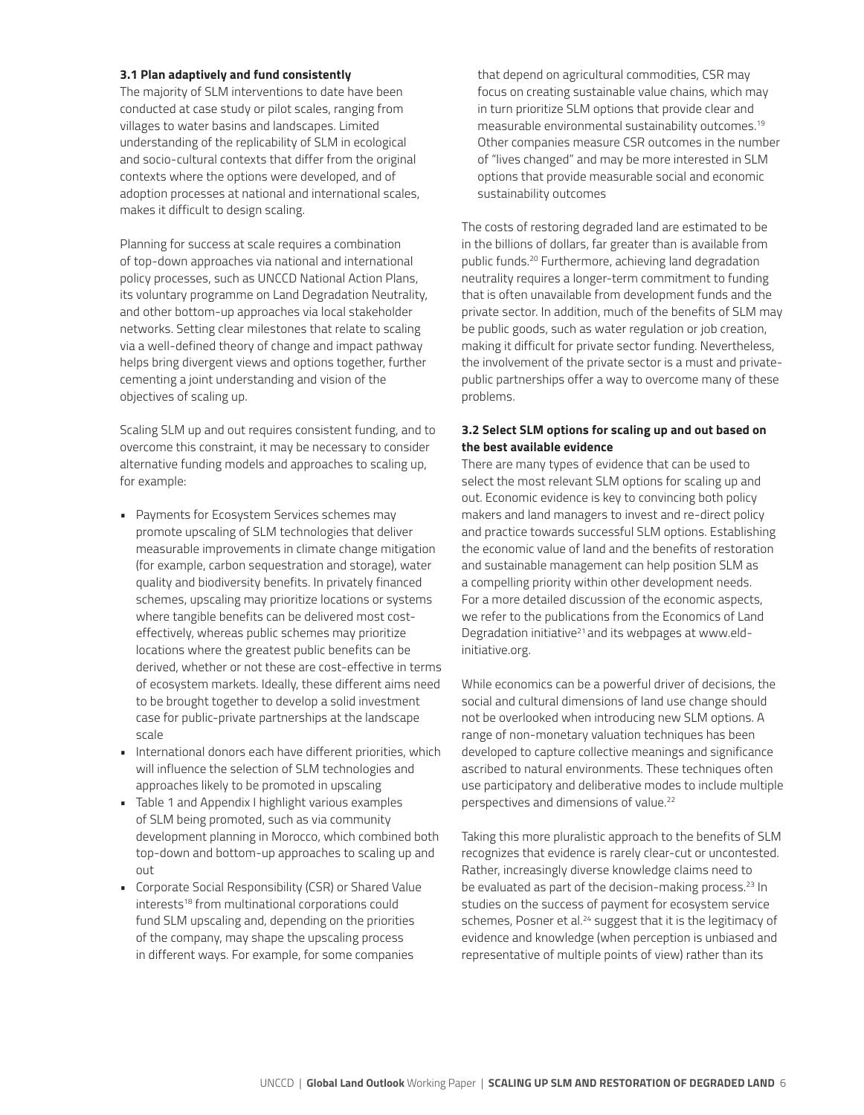#### **3.1 Plan adaptively and fund consistently**

The majority of SLM interventions to date have been conducted at case study or pilot scales, ranging from villages to water basins and landscapes. Limited understanding of the replicability of SLM in ecological and socio-cultural contexts that differ from the original contexts where the options were developed, and of adoption processes at national and international scales, makes it difficult to design scaling.

Planning for success at scale requires a combination of top-down approaches via national and international policy processes, such as UNCCD National Action Plans, its voluntary programme on Land Degradation Neutrality, and other bottom-up approaches via local stakeholder networks. Setting clear milestones that relate to scaling via a well-defined theory of change and impact pathway helps bring divergent views and options together, further cementing a joint understanding and vision of the objectives of scaling up.

Scaling SLM up and out requires consistent funding, and to overcome this constraint, it may be necessary to consider alternative funding models and approaches to scaling up, for example:

- Payments for Ecosystem Services schemes may promote upscaling of SLM technologies that deliver measurable improvements in climate change mitigation (for example, carbon sequestration and storage), water quality and biodiversity benefits. In privately financed schemes, upscaling may prioritize locations or systems where tangible benefits can be delivered most costeffectively, whereas public schemes may prioritize locations where the greatest public benefits can be derived, whether or not these are cost-effective in terms of ecosystem markets. Ideally, these different aims need to be brought together to develop a solid investment case for public-private partnerships at the landscape scale
- International donors each have different priorities, which will influence the selection of SLM technologies and approaches likely to be promoted in upscaling
- Table 1 and Appendix I highlight various examples of SLM being promoted, such as via community development planning in Morocco, which combined both top-down and bottom-up approaches to scaling up and out
- Corporate Social Responsibility (CSR) or Shared Value interests<sup>18</sup> from multinational corporations could fund SLM upscaling and, depending on the priorities of the company, may shape the upscaling process in different ways. For example, for some companies

that depend on agricultural commodities, CSR may focus on creating sustainable value chains, which may in turn prioritize SLM options that provide clear and measurable environmental sustainability outcomes.19 Other companies measure CSR outcomes in the number of "lives changed" and may be more interested in SLM options that provide measurable social and economic sustainability outcomes

The costs of restoring degraded land are estimated to be in the billions of dollars, far greater than is available from public funds.20 Furthermore, achieving land degradation neutrality requires a longer-term commitment to funding that is often unavailable from development funds and the private sector. In addition, much of the benefits of SLM may be public goods, such as water regulation or job creation, making it difficult for private sector funding. Nevertheless, the involvement of the private sector is a must and privatepublic partnerships offer a way to overcome many of these problems.

#### **3.2 Select SLM options for scaling up and out based on the best available evidence**

There are many types of evidence that can be used to select the most relevant SLM options for scaling up and out. Economic evidence is key to convincing both policy makers and land managers to invest and re-direct policy and practice towards successful SLM options. Establishing the economic value of land and the benefits of restoration and sustainable management can help position SLM as a compelling priority within other development needs. For a more detailed discussion of the economic aspects, we refer to the publications from the Economics of Land Degradation initiative<sup>21</sup> and its webpages at www.eldinitiative.org.

While economics can be a powerful driver of decisions, the social and cultural dimensions of land use change should not be overlooked when introducing new SLM options. A range of non-monetary valuation techniques has been developed to capture collective meanings and significance ascribed to natural environments. These techniques often use participatory and deliberative modes to include multiple perspectives and dimensions of value.22

Taking this more pluralistic approach to the benefits of SLM recognizes that evidence is rarely clear-cut or uncontested. Rather, increasingly diverse knowledge claims need to be evaluated as part of the decision-making process.<sup>23</sup> In studies on the success of payment for ecosystem service schemes, Posner et al.<sup>24</sup> suggest that it is the legitimacy of evidence and knowledge (when perception is unbiased and representative of multiple points of view) rather than its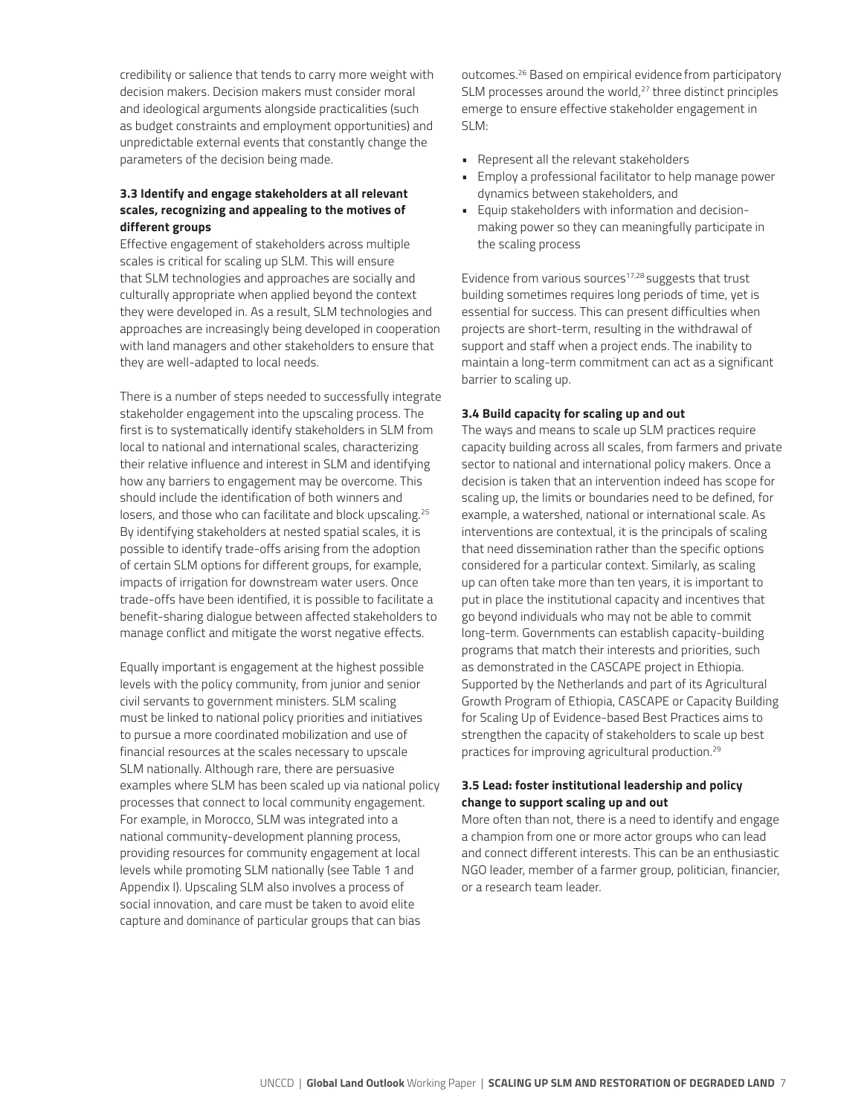credibility or salience that tends to carry more weight with decision makers. Decision makers must consider moral and ideological arguments alongside practicalities (such as budget constraints and employment opportunities) and unpredictable external events that constantly change the parameters of the decision being made.

#### **3.3 Identify and engage stakeholders at all relevant scales, recognizing and appealing to the motives of different groups**

Effective engagement of stakeholders across multiple scales is critical for scaling up SLM. This will ensure that SLM technologies and approaches are socially and culturally appropriate when applied beyond the context they were developed in. As a result, SLM technologies and approaches are increasingly being developed in cooperation with land managers and other stakeholders to ensure that they are well-adapted to local needs.

There is a number of steps needed to successfully integrate stakeholder engagement into the upscaling process. The first is to systematically identify stakeholders in SLM from local to national and international scales, characterizing their relative influence and interest in SLM and identifying how any barriers to engagement may be overcome. This should include the identification of both winners and losers, and those who can facilitate and block upscaling.<sup>25</sup> By identifying stakeholders at nested spatial scales, it is possible to identify trade-offs arising from the adoption of certain SLM options for different groups, for example, impacts of irrigation for downstream water users. Once trade-offs have been identified, it is possible to facilitate a benefit-sharing dialogue between affected stakeholders to manage conflict and mitigate the worst negative effects.

Equally important is engagement at the highest possible levels with the policy community, from junior and senior civil servants to government ministers. SLM scaling must be linked to national policy priorities and initiatives to pursue a more coordinated mobilization and use of financial resources at the scales necessary to upscale SLM nationally. Although rare, there are persuasive examples where SLM has been scaled up via national policy processes that connect to local community engagement. For example, in Morocco, SLM was integrated into a national community-development planning process, providing resources for community engagement at local levels while promoting SLM nationally (see Table 1 and Appendix I). Upscaling SLM also involves a process of social innovation, and care must be taken to avoid elite capture and dominance of particular groups that can bias

outcomes.26 Based on empirical evidence from participatory SLM processes around the world,<sup>27</sup> three distinct principles emerge to ensure effective stakeholder engagement in SLM:

- Represent all the relevant stakeholders
- Employ a professional facilitator to help manage power dynamics between stakeholders, and
- Equip stakeholders with information and decisionmaking power so they can meaningfully participate in the scaling process

Evidence from various sources<sup>17,28</sup> suggests that trust building sometimes requires long periods of time, yet is essential for success. This can present difficulties when projects are short-term, resulting in the withdrawal of support and staff when a project ends. The inability to maintain a long-term commitment can act as a significant barrier to scaling up.

#### **3.4 Build capacity for scaling up and out**

The ways and means to scale up SLM practices require capacity building across all scales, from farmers and private sector to national and international policy makers. Once a decision is taken that an intervention indeed has scope for scaling up, the limits or boundaries need to be defined, for example, a watershed, national or international scale. As interventions are contextual, it is the principals of scaling that need dissemination rather than the specific options considered for a particular context. Similarly, as scaling up can often take more than ten years, it is important to put in place the institutional capacity and incentives that go beyond individuals who may not be able to commit long-term. Governments can establish capacity-building programs that match their interests and priorities, such as demonstrated in the CASCAPE project in Ethiopia. Supported by the Netherlands and part of its Agricultural Growth Program of Ethiopia, CASCAPE or Capacity Building for Scaling Up of Evidence-based Best Practices aims to strengthen the capacity of stakeholders to scale up best practices for improving agricultural production.29

#### **3.5 Lead: foster institutional leadership and policy change to support scaling up and out**

More often than not, there is a need to identify and engage a champion from one or more actor groups who can lead and connect different interests. This can be an enthusiastic NGO leader, member of a farmer group, politician, financier, or a research team leader.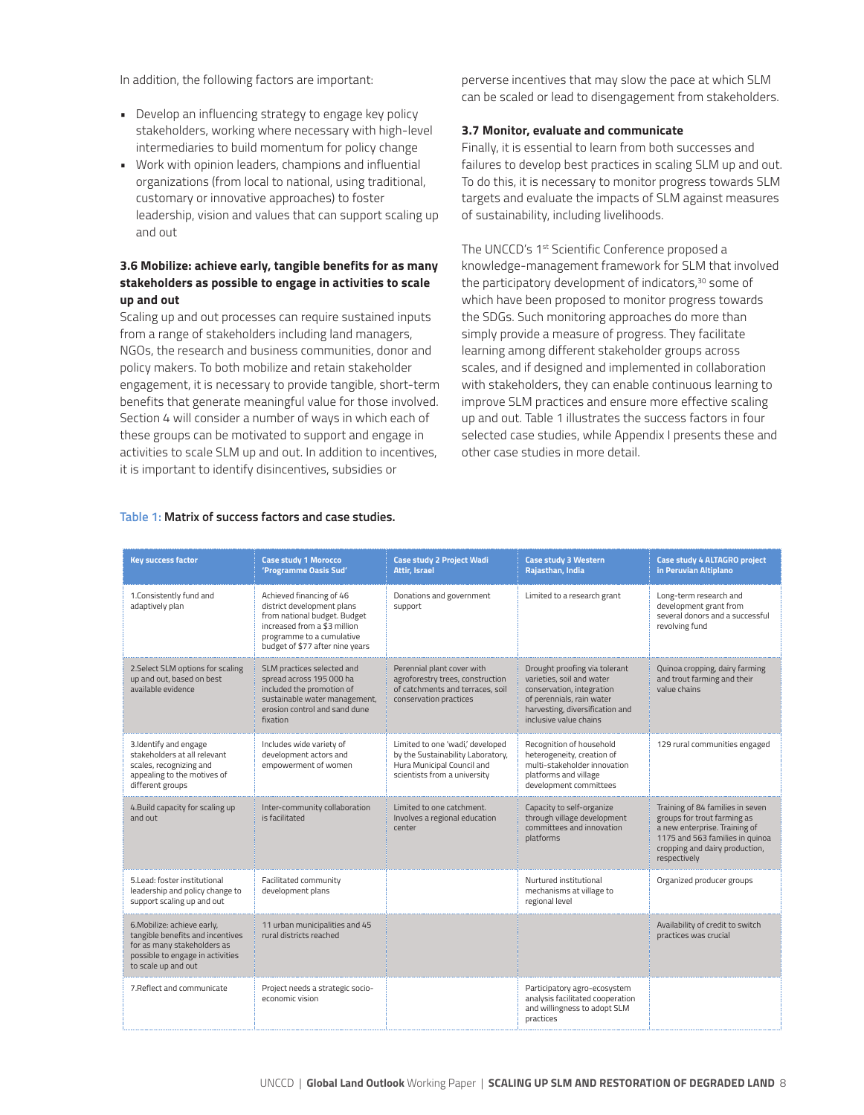In addition, the following factors are important:

- Develop an influencing strategy to engage key policy stakeholders, working where necessary with high-level intermediaries to build momentum for policy change
- Work with opinion leaders, champions and influential organizations (from local to national, using traditional, customary or innovative approaches) to foster leadership, vision and values that can support scaling up and out

#### **3.6 Mobilize: achieve early, tangible benefits for as many stakeholders as possible to engage in activities to scale up and out**

Scaling up and out processes can require sustained inputs from a range of stakeholders including land managers, NGOs, the research and business communities, donor and policy makers. To both mobilize and retain stakeholder engagement, it is necessary to provide tangible, short-term benefits that generate meaningful value for those involved. Section 4 will consider a number of ways in which each of these groups can be motivated to support and engage in activities to scale SLM up and out. In addition to incentives, it is important to identify disincentives, subsidies or

perverse incentives that may slow the pace at which SLM can be scaled or lead to disengagement from stakeholders.

#### **3.7 Monitor, evaluate and communicate**

Finally, it is essential to learn from both successes and failures to develop best practices in scaling SLM up and out. To do this, it is necessary to monitor progress towards SLM targets and evaluate the impacts of SLM against measures of sustainability, including livelihoods.

The UNCCD's 1<sup>st</sup> Scientific Conference proposed a knowledge-management framework for SLM that involved the participatory development of indicators,<sup>30</sup> some of which have been proposed to monitor progress towards the SDGs. Such monitoring approaches do more than simply provide a measure of progress. They facilitate learning among different stakeholder groups across scales, and if designed and implemented in collaboration with stakeholders, they can enable continuous learning to improve SLM practices and ensure more effective scaling up and out. Table 1 illustrates the success factors in four selected case studies, while Appendix I presents these and other case studies in more detail.

| <b>Key success factor</b>                                                                                                                                 | <b>Case study 1 Morocco</b><br>'Programme Oasis Sud'                                                                                                                                   | <b>Case study 2 Project Wadi</b><br><b>Attir. Israel</b>                                                                            | <b>Case study 3 Western</b><br>Rajasthan, India                                                                                                                                   | Case study 4 ALTAGRO project<br>in Peruvian Altiplano                                                                                                                                 |
|-----------------------------------------------------------------------------------------------------------------------------------------------------------|----------------------------------------------------------------------------------------------------------------------------------------------------------------------------------------|-------------------------------------------------------------------------------------------------------------------------------------|-----------------------------------------------------------------------------------------------------------------------------------------------------------------------------------|---------------------------------------------------------------------------------------------------------------------------------------------------------------------------------------|
| 1.Consistently fund and<br>adaptively plan                                                                                                                | Achieved financing of 46<br>district development plans<br>from national budget. Budget<br>increased from a \$3 million<br>programme to a cumulative<br>budget of \$77 after nine years | Donations and government<br>support                                                                                                 | Limited to a research grant                                                                                                                                                       | Long-term research and<br>development grant from<br>several donors and a successful<br>revolving fund                                                                                 |
| 2. Select SLM options for scaling<br>up and out, based on best<br>available evidence                                                                      | SLM practices selected and<br>spread across 195 000 ha<br>included the promotion of<br>sustainable water management,<br>erosion control and sand dune<br>fixation                      | Perennial plant cover with<br>agroforestry trees, construction<br>of catchments and terraces, soil<br>conservation practices        | Drought proofing via tolerant<br>varieties, soil and water<br>conservation, integration<br>of perennials, rain water<br>harvesting, diversification and<br>inclusive value chains | Quinoa cropping, dairy farming<br>and trout farming and their<br>value chains                                                                                                         |
| 3.Identify and engage<br>stakeholders at all relevant<br>scales, recognizing and<br>appealing to the motives of<br>different groups                       | Includes wide variety of<br>development actors and<br>empowerment of women                                                                                                             | Limited to one 'wadi,' developed<br>by the Sustainability Laboratory,<br>Hura Municipal Council and<br>scientists from a university | Recognition of household<br>heterogeneity, creation of<br>multi-stakeholder innovation<br>platforms and village<br>development committees                                         | 129 rural communities engaged                                                                                                                                                         |
| 4. Build capacity for scaling up<br>and out                                                                                                               | Inter-community collaboration<br>is facilitated                                                                                                                                        | Limited to one catchment.<br>Involves a regional education<br>center                                                                | Capacity to self-organize<br>through village development<br>committees and innovation<br>platforms                                                                                | Training of 84 families in seven<br>groups for trout farming as<br>a new enterprise. Training of<br>1175 and 563 families in quinoa<br>cropping and dairy production,<br>respectively |
| 5.Lead: foster institutional<br>leadership and policy change to<br>support scaling up and out                                                             | Facilitated community<br>development plans                                                                                                                                             |                                                                                                                                     | Nurtured institutional<br>mechanisms at village to<br>regional level                                                                                                              | Organized producer groups                                                                                                                                                             |
| 6. Mobilize: achieve early,<br>tangible benefits and incentives<br>for as many stakeholders as<br>possible to engage in activities<br>to scale up and out | 11 urban municipalities and 45<br>rural districts reached                                                                                                                              |                                                                                                                                     |                                                                                                                                                                                   | Availability of credit to switch<br>practices was crucial                                                                                                                             |
| 7. Reflect and communicate                                                                                                                                | Project needs a strategic socio-<br>economic vision                                                                                                                                    |                                                                                                                                     | Participatory agro-ecosystem<br>analysis facilitated cooperation<br>and willingness to adopt SLM<br>practices                                                                     |                                                                                                                                                                                       |

#### **Table 1: Matrix of success factors and case studies.**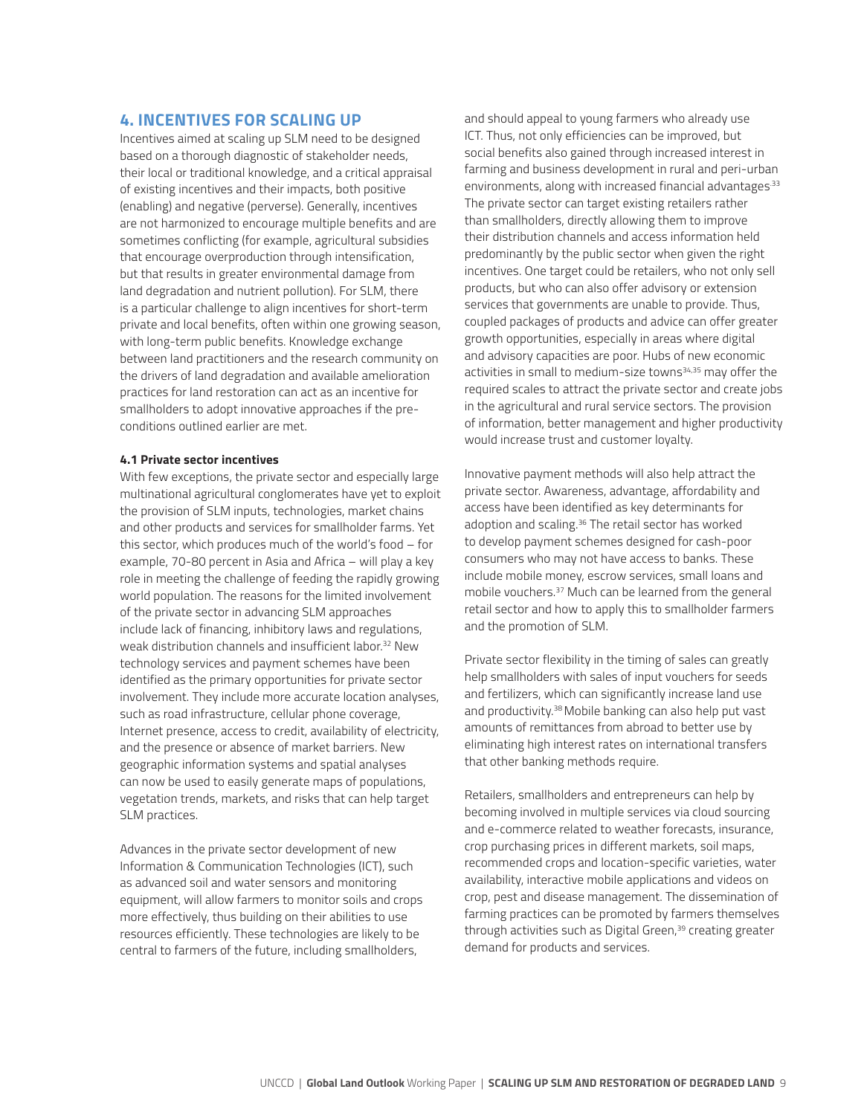#### **4. INCENTIVES FOR SCALING UP**

Incentives aimed at scaling up SLM need to be designed based on a thorough diagnostic of stakeholder needs, their local or traditional knowledge, and a critical appraisal of existing incentives and their impacts, both positive (enabling) and negative (perverse). Generally, incentives are not harmonized to encourage multiple benefits and are sometimes conflicting (for example, agricultural subsidies that encourage overproduction through intensification, but that results in greater environmental damage from land degradation and nutrient pollution). For SLM, there is a particular challenge to align incentives for short-term private and local benefits, often within one growing season, with long-term public benefits. Knowledge exchange between land practitioners and the research community on the drivers of land degradation and available amelioration practices for land restoration can act as an incentive for smallholders to adopt innovative approaches if the preconditions outlined earlier are met.

#### **4.1 Private sector incentives**

With few exceptions, the private sector and especially large multinational agricultural conglomerates have yet to exploit the provision of SLM inputs, technologies, market chains and other products and services for smallholder farms. Yet this sector, which produces much of the world's food – for example, 70-80 percent in Asia and Africa – will play a key role in meeting the challenge of feeding the rapidly growing world population. The reasons for the limited involvement of the private sector in advancing SLM approaches include lack of financing, inhibitory laws and regulations, weak distribution channels and insufficient labor.<sup>32</sup> New technology services and payment schemes have been identified as the primary opportunities for private sector involvement. They include more accurate location analyses, such as road infrastructure, cellular phone coverage, Internet presence, access to credit, availability of electricity, and the presence or absence of market barriers. New geographic information systems and spatial analyses can now be used to easily generate maps of populations, vegetation trends, markets, and risks that can help target SLM practices.

Advances in the private sector development of new Information & Communication Technologies (ICT), such as advanced soil and water sensors and monitoring equipment, will allow farmers to monitor soils and crops more effectively, thus building on their abilities to use resources efficiently. These technologies are likely to be central to farmers of the future, including smallholders,

and should appeal to young farmers who already use ICT. Thus, not only efficiencies can be improved, but social benefits also gained through increased interest in farming and business development in rural and peri-urban environments, along with increased financial advantages<sup>33</sup> The private sector can target existing retailers rather than smallholders, directly allowing them to improve their distribution channels and access information held predominantly by the public sector when given the right incentives. One target could be retailers, who not only sell products, but who can also offer advisory or extension services that governments are unable to provide. Thus, coupled packages of products and advice can offer greater growth opportunities, especially in areas where digital and advisory capacities are poor. Hubs of new economic activities in small to medium-size towns<sup>34,35</sup> may offer the required scales to attract the private sector and create jobs in the agricultural and rural service sectors. The provision of information, better management and higher productivity would increase trust and customer loyalty.

Innovative payment methods will also help attract the private sector. Awareness, advantage, affordability and access have been identified as key determinants for adoption and scaling.<sup>36</sup> The retail sector has worked to develop payment schemes designed for cash-poor consumers who may not have access to banks. These include mobile money, escrow services, small loans and mobile vouchers.37 Much can be learned from the general retail sector and how to apply this to smallholder farmers and the promotion of SLM.

Private sector flexibility in the timing of sales can greatly help smallholders with sales of input vouchers for seeds and fertilizers, which can significantly increase land use and productivity.<sup>38</sup> Mobile banking can also help put vast amounts of remittances from abroad to better use by eliminating high interest rates on international transfers that other banking methods require.

Retailers, smallholders and entrepreneurs can help by becoming involved in multiple services via cloud sourcing and e-commerce related to weather forecasts, insurance, crop purchasing prices in different markets, soil maps, recommended crops and location-specific varieties, water availability, interactive mobile applications and videos on crop, pest and disease management. The dissemination of farming practices can be promoted by farmers themselves through activities such as Digital Green,<sup>39</sup> creating greater demand for products and services.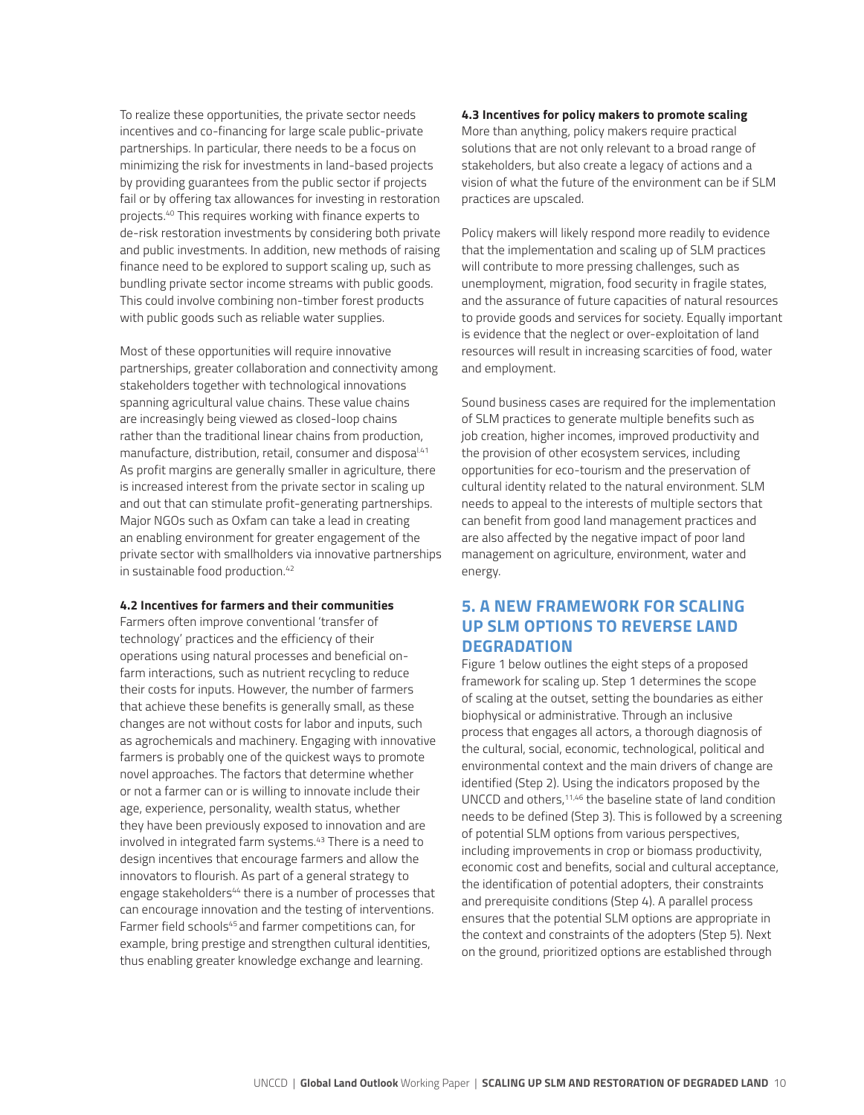To realize these opportunities, the private sector needs incentives and co-financing for large scale public-private partnerships. In particular, there needs to be a focus on minimizing the risk for investments in land-based projects by providing guarantees from the public sector if projects fail or by offering tax allowances for investing in restoration projects.40 This requires working with finance experts to de-risk restoration investments by considering both private and public investments. In addition, new methods of raising finance need to be explored to support scaling up, such as bundling private sector income streams with public goods. This could involve combining non-timber forest products with public goods such as reliable water supplies.

Most of these opportunities will require innovative partnerships, greater collaboration and connectivity among stakeholders together with technological innovations spanning agricultural value chains. These value chains are increasingly being viewed as closed-loop chains rather than the traditional linear chains from production, manufacture, distribution, retail, consumer and disposal.41 As profit margins are generally smaller in agriculture, there is increased interest from the private sector in scaling up and out that can stimulate profit-generating partnerships. Major NGOs such as Oxfam can take a lead in creating an enabling environment for greater engagement of the private sector with smallholders via innovative partnerships in sustainable food production.<sup>42</sup>

#### **4.2 Incentives for farmers and their communities**

Farmers often improve conventional 'transfer of technology' practices and the efficiency of their operations using natural processes and beneficial onfarm interactions, such as nutrient recycling to reduce their costs for inputs. However, the number of farmers that achieve these benefits is generally small, as these changes are not without costs for labor and inputs, such as agrochemicals and machinery. Engaging with innovative farmers is probably one of the quickest ways to promote novel approaches. The factors that determine whether or not a farmer can or is willing to innovate include their age, experience, personality, wealth status, whether they have been previously exposed to innovation and are involved in integrated farm systems.<sup>43</sup> There is a need to design incentives that encourage farmers and allow the innovators to flourish. As part of a general strategy to engage stakeholders<sup>44</sup> there is a number of processes that can encourage innovation and the testing of interventions. Farmer field schools<sup>45</sup> and farmer competitions can, for example, bring prestige and strengthen cultural identities, thus enabling greater knowledge exchange and learning.

#### **4.3 Incentives for policy makers to promote scaling**

More than anything, policy makers require practical solutions that are not only relevant to a broad range of stakeholders, but also create a legacy of actions and a vision of what the future of the environment can be if SLM practices are upscaled.

Policy makers will likely respond more readily to evidence that the implementation and scaling up of SLM practices will contribute to more pressing challenges, such as unemployment, migration, food security in fragile states, and the assurance of future capacities of natural resources to provide goods and services for society. Equally important is evidence that the neglect or over-exploitation of land resources will result in increasing scarcities of food, water and employment.

Sound business cases are required for the implementation of SLM practices to generate multiple benefits such as job creation, higher incomes, improved productivity and the provision of other ecosystem services, including opportunities for eco-tourism and the preservation of cultural identity related to the natural environment. SLM needs to appeal to the interests of multiple sectors that can benefit from good land management practices and are also affected by the negative impact of poor land management on agriculture, environment, water and energy.

## **5. A NEW FRAMEWORK FOR SCALING UP SLM OPTIONS TO REVERSE LAND DEGRADATION**

Figure 1 below outlines the eight steps of a proposed framework for scaling up. Step 1 determines the scope of scaling at the outset, setting the boundaries as either biophysical or administrative. Through an inclusive process that engages all actors, a thorough diagnosis of the cultural, social, economic, technological, political and environmental context and the main drivers of change are identified (Step 2). Using the indicators proposed by the UNCCD and others,11,46 the baseline state of land condition needs to be defined (Step 3). This is followed by a screening of potential SLM options from various perspectives, including improvements in crop or biomass productivity, economic cost and benefits, social and cultural acceptance, the identification of potential adopters, their constraints and prerequisite conditions (Step 4). A parallel process ensures that the potential SLM options are appropriate in the context and constraints of the adopters (Step 5). Next on the ground, prioritized options are established through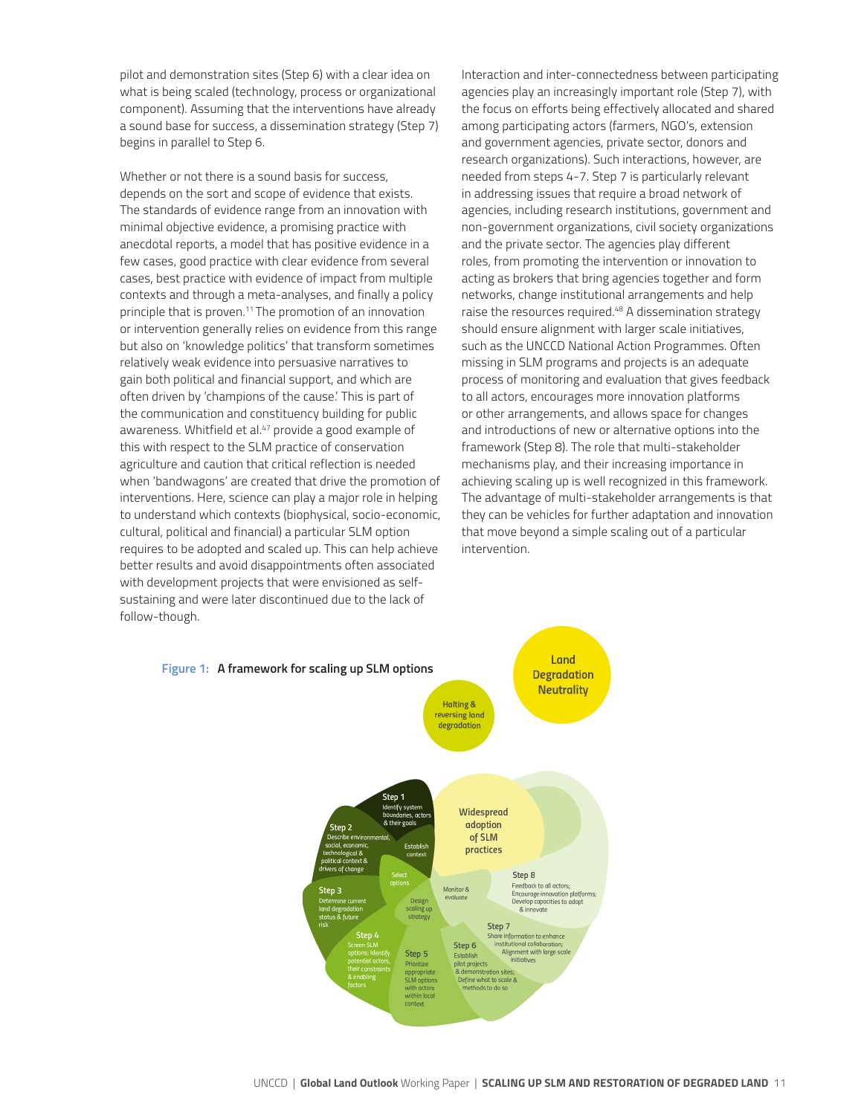pilot and demonstration sites (Step 6) with a clear idea on what is being scaled (technology, process or organizational component). Assuming that the interventions have already a sound base for success, a dissemination strategy (Step 7) begins in parallel to Step 6.

Whether or not there is a sound basis for success, depends on the sort and scope of evidence that exists. The standards of evidence range from an innovation with minimal objective evidence, a promising practice with anecdotal reports, a model that has positive evidence in a few cases, good practice with clear evidence from several cases, best practice with evidence of impact from multiple contexts and through a meta-analyses, and finally a policy principle that is proven.<sup>11</sup> The promotion of an innovation or intervention generally relies on evidence from this range but also on 'knowledge politics' that transform sometimes relatively weak evidence into persuasive narratives to gain both political and financial support, and which are often driven by 'champions of the cause.' This is part of the communication and constituency building for public awareness. Whitfield et al.<sup>47</sup> provide a good example of this with respect to the SLM practice of conservation agriculture and caution that critical reflection is needed when 'bandwagons' are created that drive the promotion of interventions. Here, science can play a major role in helping to understand which contexts (biophysical, socio-economic, cultural, political and financial) a particular SLM option requires to be adopted and scaled up. This can help achieve better results and avoid disappointments often associated with development projects that were envisioned as selfsustaining and were later discontinued due to the lack of follow-though.

Interaction and inter-connectedness between participating agencies play an increasingly important role (Step 7), with the focus on efforts being effectively allocated and shared among participating actors (farmers, NGO's, extension and government agencies, private sector, donors and research organizations). Such interactions, however, are needed from steps 4-7. Step 7 is particularly relevant in addressing issues that require a broad network of agencies, including research institutions, government and non-government organizations, civil society organizations and the private sector. The agencies play different roles, from promoting the intervention or innovation to acting as brokers that bring agencies together and form networks, change institutional arrangements and help raise the resources required.48 A dissemination strategy should ensure alignment with larger scale initiatives, such as the UNCCD National Action Programmes. Often missing in SLM programs and projects is an adequate process of monitoring and evaluation that gives feedback to all actors, encourages more innovation platforms or other arrangements, and allows space for changes and introductions of new or alternative options into the framework (Step 8). The role that multi-stakeholder mechanisms play, and their increasing importance in achieving scaling up is well recognized in this framework. The advantage of multi-stakeholder arrangements is that they can be vehicles for further adaptation and innovation that move beyond a simple scaling out of a particular intervention.

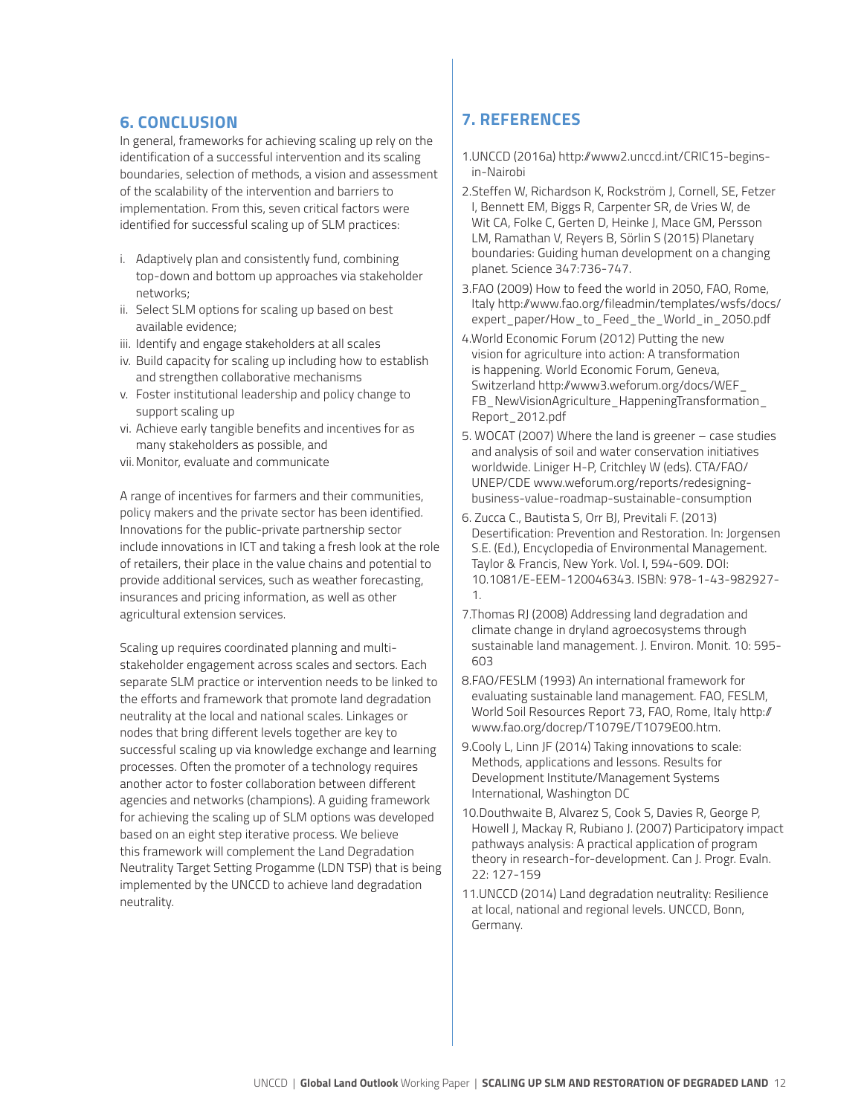#### **6. CONCLUSION**

In general, frameworks for achieving scaling up rely on the identification of a successful intervention and its scaling boundaries, selection of methods, a vision and assessment of the scalability of the intervention and barriers to implementation. From this, seven critical factors were identified for successful scaling up of SLM practices:

- i. Adaptively plan and consistently fund, combining top-down and bottom up approaches via stakeholder networks;
- ii. Select SLM options for scaling up based on best available evidence;
- iii. Identify and engage stakeholders at all scales
- iv. Build capacity for scaling up including how to establish and strengthen collaborative mechanisms
- v. Foster institutional leadership and policy change to support scaling up
- vi. Achieve early tangible benefits and incentives for as many stakeholders as possible, and
- vii.Monitor, evaluate and communicate

A range of incentives for farmers and their communities, policy makers and the private sector has been identified. Innovations for the public-private partnership sector include innovations in ICT and taking a fresh look at the role of retailers, their place in the value chains and potential to provide additional services, such as weather forecasting, insurances and pricing information, as well as other agricultural extension services.

Scaling up requires coordinated planning and multistakeholder engagement across scales and sectors. Each separate SLM practice or intervention needs to be linked to the efforts and framework that promote land degradation neutrality at the local and national scales. Linkages or nodes that bring different levels together are key to successful scaling up via knowledge exchange and learning processes. Often the promoter of a technology requires another actor to foster collaboration between different agencies and networks (champions). A guiding framework for achieving the scaling up of SLM options was developed based on an eight step iterative process. We believe this framework will complement the Land Degradation Neutrality Target Setting Progamme (LDN TSP) that is being implemented by the UNCCD to achieve land degradation neutrality.

## **7. REFERENCES**

- 1.UNCCD (2016a) http://www2.unccd.int/CRIC15-beginsin-Nairobi
- 2.Steffen W, Richardson K, Rockström J, Cornell, SE, Fetzer I, Bennett EM, Biggs R, Carpenter SR, de Vries W, de Wit CA, Folke C, Gerten D, Heinke J, Mace GM, Persson LM, Ramathan V, Reyers B, Sörlin S (2015) Planetary boundaries: Guiding human development on a changing planet. Science 347:736-747.
- 3.FAO (2009) How to feed the world in 2050, FAO, Rome, Italy http://www.fao.org/fileadmin/templates/wsfs/docs/ expert\_paper/How\_to\_Feed\_the\_World\_in\_2050.pdf
- 4.World Economic Forum (2012) Putting the new vision for agriculture into action: A transformation is happening. World Economic Forum, Geneva, Switzerland http://www3.weforum.org/docs/WEF\_ FB\_NewVisionAgriculture\_HappeningTransformation Report\_2012.pdf
- 5. WOCAT (2007) Where the land is greener case studies and analysis of soil and water conservation initiatives worldwide. Liniger H-P, Critchley W (eds). CTA/FAO/ UNEP/CDE www.weforum.org/reports/redesigningbusiness-value-roadmap-sustainable-consumption
- 6. Zucca C., Bautista S, Orr BJ, Previtali F. (2013) Desertification: Prevention and Restoration. In: Jorgensen S.E. (Ed.), Encyclopedia of Environmental Management. Taylor & Francis, New York. Vol. I, 594-609. DOI: 10.1081/E-EEM-120046343. ISBN: 978-1-43-982927- 1.
- 7.Thomas RJ (2008) Addressing land degradation and climate change in dryland agroecosystems through sustainable land management. J. Environ. Monit. 10: 595- 603
- 8.FAO/FESLM (1993) An international framework for evaluating sustainable land management. FAO, FESLM, World Soil Resources Report 73, FAO, Rome, Italy http:// www.fao.org/docrep/T1079E/T1079E00.htm.
- 9.Cooly L, Linn JF (2014) Taking innovations to scale: Methods, applications and lessons. Results for Development Institute/Management Systems International, Washington DC
- 10.Douthwaite B, Alvarez S, Cook S, Davies R, George P, Howell J, Mackay R, Rubiano J. (2007) Participatory impact pathways analysis: A practical application of program theory in research-for-development. Can J. Progr. Evaln. 22: 127-159
- 11.UNCCD (2014) Land degradation neutrality: Resilience at local, national and regional levels. UNCCD, Bonn, Germany.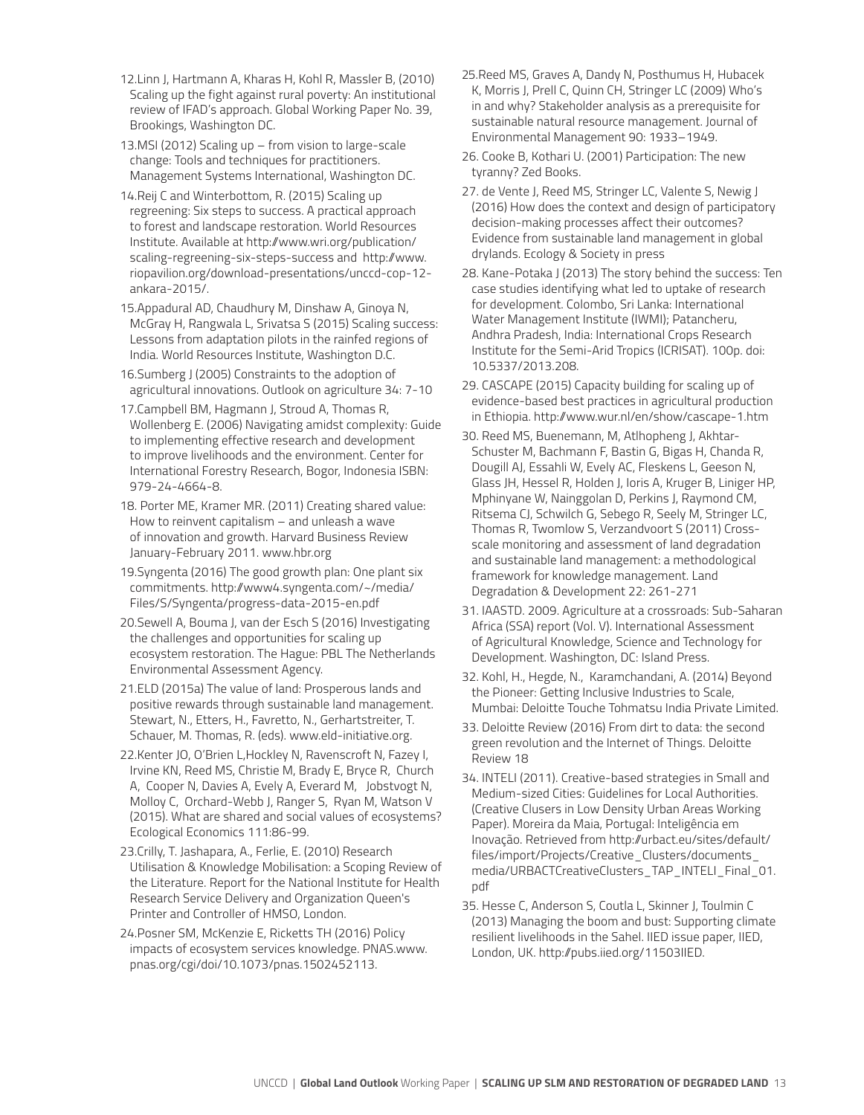- 12.Linn J, Hartmann A, Kharas H, Kohl R, Massler B, (2010) Scaling up the fight against rural poverty: An institutional review of IFAD's approach. Global Working Paper No. 39, Brookings, Washington DC.
- 13.MSI (2012) Scaling up from vision to large-scale change: Tools and techniques for practitioners. Management Systems International, Washington DC.
- 14.Reij C and Winterbottom, R. (2015) Scaling up regreening: Six steps to success. A practical approach to forest and landscape restoration. World Resources Institute. Available at http://www.wri.org/publication/ scaling-regreening-six-steps-success and http://www. riopavilion.org/download-presentations/unccd-cop-12 ankara-2015/.
- 15.Appadural AD, Chaudhury M, Dinshaw A, Ginoya N, McGray H, Rangwala L, Srivatsa S (2015) Scaling success: Lessons from adaptation pilots in the rainfed regions of India. World Resources Institute, Washington D.C.
- 16.Sumberg J (2005) Constraints to the adoption of agricultural innovations. Outlook on agriculture 34: 7-10
- 17.Campbell BM, Hagmann J, Stroud A, Thomas R, Wollenberg E. (2006) Navigating amidst complexity: Guide to implementing effective research and development to improve livelihoods and the environment. Center for International Forestry Research, Bogor, Indonesia ISBN: 979-24-4664-8.
- 18. Porter ME, Kramer MR. (2011) Creating shared value: How to reinvent capitalism – and unleash a wave of innovation and growth. Harvard Business Review January-February 2011. www.hbr.org
- 19.Syngenta (2016) The good growth plan: One plant six commitments. http://www4.syngenta.com/~/media/ Files/S/Syngenta/progress-data-2015-en.pdf
- 20.Sewell A, Bouma J, van der Esch S (2016) Investigating the challenges and opportunities for scaling up ecosystem restoration. The Hague: PBL The Netherlands Environmental Assessment Agency.
- 21.ELD (2015a) The value of land: Prosperous lands and positive rewards through sustainable land management. Stewart, N., Etters, H., Favretto, N., Gerhartstreiter, T. Schauer, M. Thomas, R. (eds). www.eld-initiative.org.
- 22.Kenter JO, O'Brien L,Hockley N, Ravenscroft N, Fazey I, Irvine KN, Reed MS, Christie M, Brady E, Bryce R, Church A, Cooper N, Davies A, Evely A, Everard M, Jobstvogt N, Molloy C, Orchard-Webb J, Ranger S, Ryan M, Watson V (2015). What are shared and social values of ecosystems? Ecological Economics 111:86-99.
- 23.Crilly, T. Jashapara, A., Ferlie, E. (2010) Research Utilisation & Knowledge Mobilisation: a Scoping Review of the Literature. Report for the National Institute for Health Research Service Delivery and Organization Queen's Printer and Controller of HMSO, London.
- 24.Posner SM, McKenzie E, Ricketts TH (2016) Policy impacts of ecosystem services knowledge. PNAS.www. pnas.org/cgi/doi/10.1073/pnas.1502452113.
- 25.Reed MS, Graves A, Dandy N, Posthumus H, Hubacek K, Morris J, Prell C, Quinn CH, Stringer LC (2009) Who's in and why? Stakeholder analysis as a prerequisite for sustainable natural resource management. Journal of Environmental Management 90: 1933–1949.
- 26. Cooke B, Kothari U. (2001) Participation: The new tyranny? Zed Books.
- 27. de Vente J, Reed MS, Stringer LC, Valente S, Newig J (2016) How does the context and design of participatory decision-making processes affect their outcomes? Evidence from sustainable land management in global drylands. Ecology & Society in press
- 28. Kane-Potaka J (2013) The story behind the success: Ten case studies identifying what led to uptake of research for development. Colombo, Sri Lanka: International Water Management Institute (IWMI); Patancheru, Andhra Pradesh, India: International Crops Research Institute for the Semi-Arid Tropics (ICRISAT). 100p. doi: 10.5337/2013.208.
- 29. CASCAPE (2015) Capacity building for scaling up of evidence-based best practices in agricultural production in Ethiopia. http://www.wur.nl/en/show/cascape-1.htm
- 30. Reed MS, Buenemann, M, Atlhopheng J, Akhtar-Schuster M, Bachmann F, Bastin G, Bigas H, Chanda R, Dougill AJ, Essahli W, Evely AC, Fleskens L, Geeson N, Glass JH, Hessel R, Holden J, Ioris A, Kruger B, Liniger HP, Mphinyane W, Nainggolan D, Perkins J, Raymond CM, Ritsema CJ, Schwilch G, Sebego R, Seely M, Stringer LC, Thomas R, Twomlow S, Verzandvoort S (2011) Crossscale monitoring and assessment of land degradation and sustainable land management: a methodological framework for knowledge management. Land Degradation & Development 22: 261-271
- 31. IAASTD. 2009. Agriculture at a crossroads: Sub-Saharan Africa (SSA) report (Vol. V). International Assessment of Agricultural Knowledge, Science and Technology for Development. Washington, DC: Island Press.
- 32. Kohl, H., Hegde, N., Karamchandani, A. (2014) Beyond the Pioneer: Getting Inclusive Industries to Scale, Mumbai: Deloitte Touche Tohmatsu India Private Limited.
- 33. Deloitte Review (2016) From dirt to data: the second green revolution and the Internet of Things. Deloitte Review 18
- 34. INTELI (2011). Creative-based strategies in Small and Medium-sized Cities: Guidelines for Local Authorities. (Creative Clusers in Low Density Urban Areas Working Paper). Moreira da Maia, Portugal: Inteligência em Inovação. Retrieved from http://urbact.eu/sites/default/ files/import/Projects/Creative\_Clusters/documents\_ media/URBACTCreativeClusters\_TAP\_INTELI\_Final\_01. pdf
- 35. Hesse C, Anderson S, Coutla L, Skinner J, Toulmin C (2013) Managing the boom and bust: Supporting climate resilient livelihoods in the Sahel. IIED issue paper, IIED, London, UK. http://pubs.iied.org/11503IIED.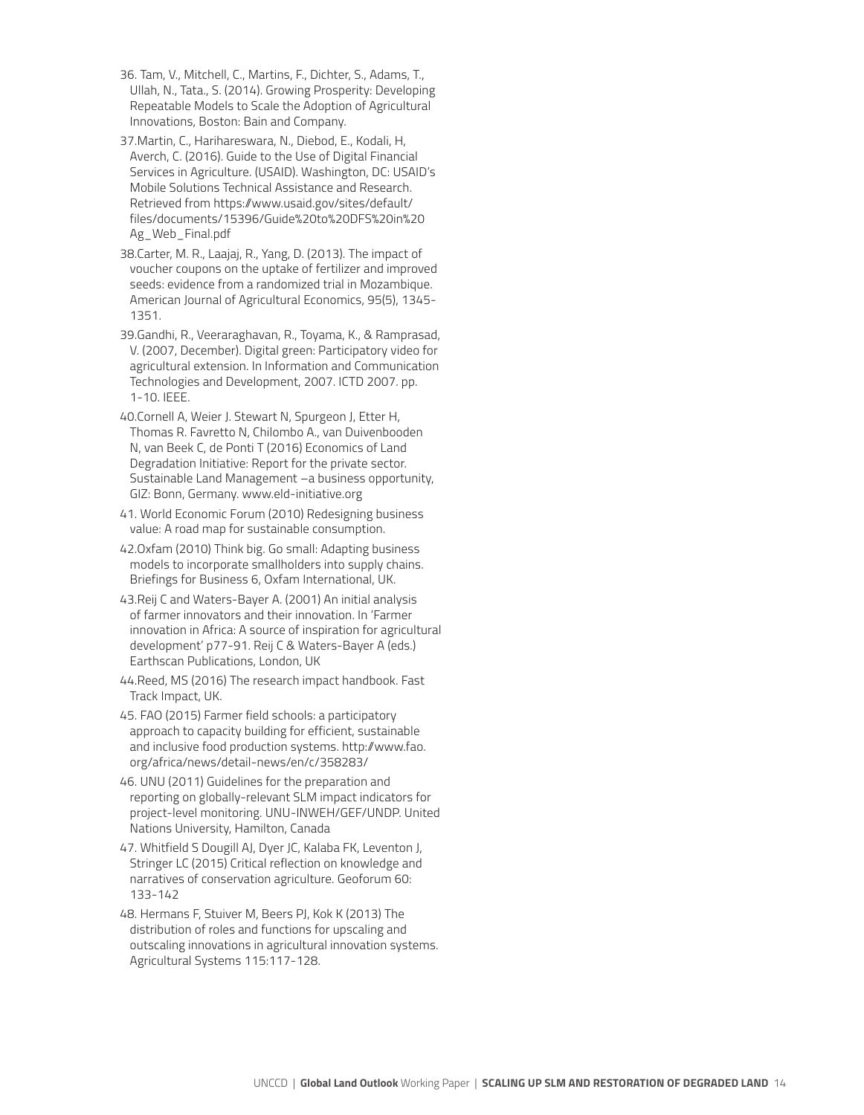- 36. Tam, V., Mitchell, C., Martins, F., Dichter, S., Adams, T., Ullah, N., Tata., S. (2014). Growing Prosperity: Developing Repeatable Models to Scale the Adoption of Agricultural Innovations, Boston: Bain and Company.
- 37.Martin, C., Harihareswara, N., Diebod, E., Kodali, H, Averch, C. (2016). Guide to the Use of Digital Financial Services in Agriculture. (USAID). Washington, DC: USAID's Mobile Solutions Technical Assistance and Research. Retrieved from https://www.usaid.gov/sites/default/ files/documents/15396/Guide%20to%20DFS%20in%20 Ag\_Web\_Final.pdf
- 38.Carter, M. R., Laajaj, R., Yang, D. (2013). The impact of voucher coupons on the uptake of fertilizer and improved seeds: evidence from a randomized trial in Mozambique. American Journal of Agricultural Economics, 95(5), 1345- 1351.
- 39.Gandhi, R., Veeraraghavan, R., Toyama, K., & Ramprasad, V. (2007, December). Digital green: Participatory video for agricultural extension. In Information and Communication Technologies and Development, 2007. ICTD 2007. pp. 1-10. IEEE.
- 40.Cornell A, Weier J. Stewart N, Spurgeon J, Etter H, Thomas R. Favretto N, Chilombo A., van Duivenbooden N, van Beek C, de Ponti T (2016) Economics of Land Degradation Initiative: Report for the private sector. Sustainable Land Management –a business opportunity, GIZ: Bonn, Germany. www.eld-initiative.org
- 41. World Economic Forum (2010) Redesigning business value: A road map for sustainable consumption.
- 42.Oxfam (2010) Think big. Go small: Adapting business models to incorporate smallholders into supply chains. Briefings for Business 6, Oxfam International, UK.
- 43.Reij C and Waters-Bayer A. (2001) An initial analysis of farmer innovators and their innovation. In 'Farmer innovation in Africa: A source of inspiration for agricultural development' p77-91. Reij C & Waters-Bayer A (eds.) Earthscan Publications, London, UK
- 44.Reed, MS (2016) The research impact handbook. Fast Track Impact, UK.
- 45. FAO (2015) Farmer field schools: a participatory approach to capacity building for efficient, sustainable and inclusive food production systems. http://www.fao. org/africa/news/detail-news/en/c/358283/
- 46. UNU (2011) Guidelines for the preparation and reporting on globally-relevant SLM impact indicators for project-level monitoring. UNU-INWEH/GEF/UNDP. United Nations University, Hamilton, Canada
- 47. Whitfield S Dougill AJ, Dyer JC, Kalaba FK, Leventon J, Stringer LC (2015) Critical reflection on knowledge and narratives of conservation agriculture. Geoforum 60: 133-142
- 48. Hermans F, Stuiver M, Beers PJ, Kok K (2013) The distribution of roles and functions for upscaling and outscaling innovations in agricultural innovation systems. Agricultural Systems 115:117-128.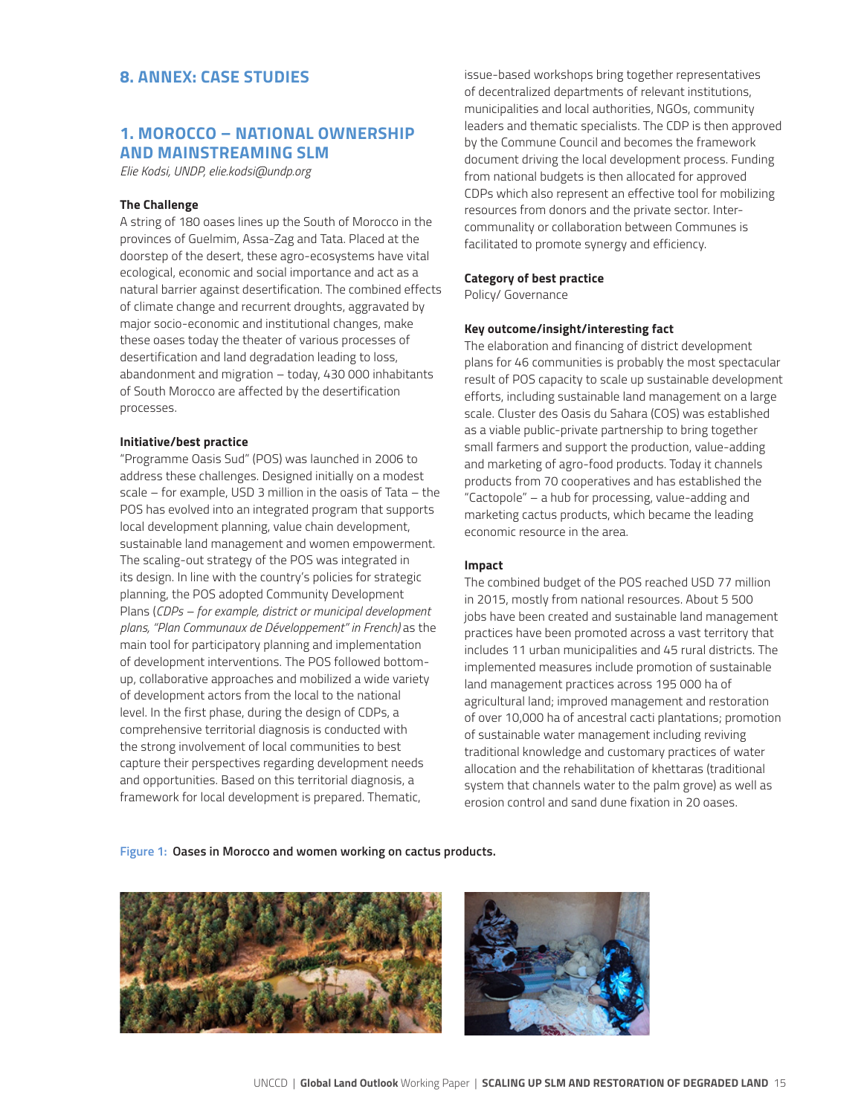## **8. ANNEX: CASE STUDIES**

### **1. MOROCCO – NATIONAL OWNERSHIP AND MAINSTREAMING SLM**

*Elie Kodsi, UNDP, elie.kodsi@undp.org*

#### **The Challenge**

A string of 180 oases lines up the South of Morocco in the provinces of Guelmim, Assa-Zag and Tata. Placed at the doorstep of the desert, these agro-ecosystems have vital ecological, economic and social importance and act as a natural barrier against desertification. The combined effects of climate change and recurrent droughts, aggravated by major socio-economic and institutional changes, make these oases today the theater of various processes of desertification and land degradation leading to loss, abandonment and migration – today, 430 000 inhabitants of South Morocco are affected by the desertification processes.

#### **Initiative/best practice**

"Programme Oasis Sud" (POS) was launched in 2006 to address these challenges. Designed initially on a modest scale – for example, USD 3 million in the oasis of Tata – the POS has evolved into an integrated program that supports local development planning, value chain development, sustainable land management and women empowerment. The scaling-out strategy of the POS was integrated in its design. In line with the country's policies for strategic planning, the POS adopted Community Development Plans (*CDPs – for example, district or municipal development plans, "Plan Communaux de Développement" in French)* as the main tool for participatory planning and implementation of development interventions. The POS followed bottomup, collaborative approaches and mobilized a wide variety of development actors from the local to the national level. In the first phase, during the design of CDPs, a comprehensive territorial diagnosis is conducted with the strong involvement of local communities to best capture their perspectives regarding development needs and opportunities. Based on this territorial diagnosis, a framework for local development is prepared. Thematic,

issue-based workshops bring together representatives of decentralized departments of relevant institutions, municipalities and local authorities, NGOs, community leaders and thematic specialists. The CDP is then approved by the Commune Council and becomes the framework document driving the local development process. Funding from national budgets is then allocated for approved CDPs which also represent an effective tool for mobilizing resources from donors and the private sector. Intercommunality or collaboration between Communes is facilitated to promote synergy and efficiency.

#### **Category of best practice**

Policy/ Governance

#### **Key outcome/insight/interesting fact**

The elaboration and financing of district development plans for 46 communities is probably the most spectacular result of POS capacity to scale up sustainable development efforts, including sustainable land management on a large scale. Cluster des Oasis du Sahara (COS) was established as a viable public-private partnership to bring together small farmers and support the production, value-adding and marketing of agro-food products. Today it channels products from 70 cooperatives and has established the "Cactopole" – a hub for processing, value-adding and marketing cactus products, which became the leading economic resource in the area.

#### **Impact**

The combined budget of the POS reached USD 77 million in 2015, mostly from national resources. About 5 500 jobs have been created and sustainable land management practices have been promoted across a vast territory that includes 11 urban municipalities and 45 rural districts. The implemented measures include promotion of sustainable land management practices across 195 000 ha of agricultural land; improved management and restoration of over 10,000 ha of ancestral cacti plantations; promotion of sustainable water management including reviving traditional knowledge and customary practices of water allocation and the rehabilitation of khettaras (traditional system that channels water to the palm grove) as well as erosion control and sand dune fixation in 20 oases.

#### **Figure 1: Oases in Morocco and women working on cactus products.**

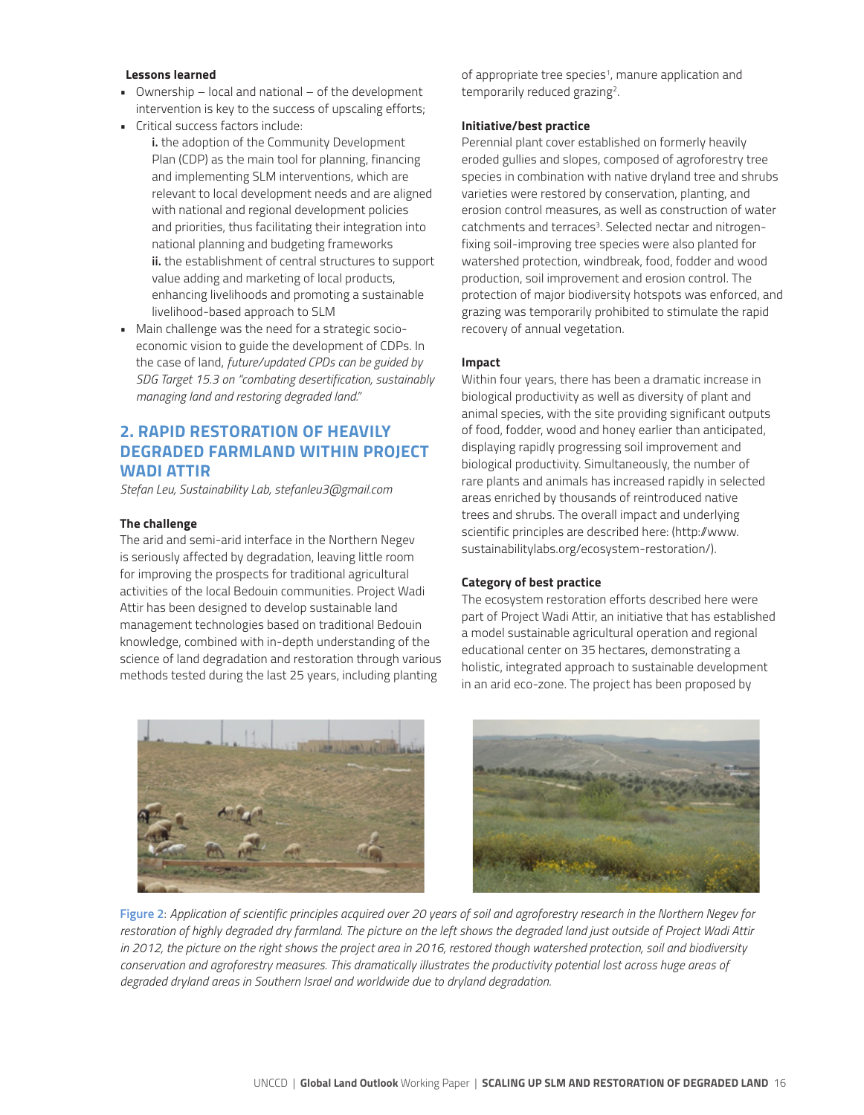#### **Lessons learned**

- Ownership local and national of the development intervention is key to the success of upscaling efforts;
- Critical success factors include:
	- **i.** the adoption of the Community Development Plan (CDP) as the main tool for planning, financing and implementing SLM interventions, which are relevant to local development needs and are aligned with national and regional development policies and priorities, thus facilitating their integration into national planning and budgeting frameworks **ii.** the establishment of central structures to support value adding and marketing of local products, enhancing livelihoods and promoting a sustainable livelihood-based approach to SLM
- Main challenge was the need for a strategic socioeconomic vision to guide the development of CDPs. In the case of land, *future/updated CPDs can be guided by SDG Target 15.3 on "combating desertification, sustainably managing land and restoring degraded land."*

## **2. RAPID RESTORATION OF HEAVILY DEGRADED FARMLAND WITHIN PROJECT WADI ATTIR**

*Stefan Leu, Sustainability Lab, stefanleu3@gmail.com*

#### **The challenge**

The arid and semi-arid interface in the Northern Negev is seriously affected by degradation, leaving little room for improving the prospects for traditional agricultural activities of the local Bedouin communities. Project Wadi Attir has been designed to develop sustainable land management technologies based on traditional Bedouin knowledge, combined with in-depth understanding of the science of land degradation and restoration through various methods tested during the last 25 years, including planting



of appropriate tree species<sup>1</sup>, manure application and temporarily reduced grazing<sup>2</sup>.

#### **Initiative/best practice**

Perennial plant cover established on formerly heavily eroded gullies and slopes, composed of agroforestry tree species in combination with native dryland tree and shrubs varieties were restored by conservation, planting, and erosion control measures, as well as construction of water catchments and terraces<sup>3</sup>. Selected nectar and nitrogenfixing soil-improving tree species were also planted for watershed protection, windbreak, food, fodder and wood production, soil improvement and erosion control. The protection of major biodiversity hotspots was enforced, and grazing was temporarily prohibited to stimulate the rapid recovery of annual vegetation.

#### **Impact**

Within four years, there has been a dramatic increase in biological productivity as well as diversity of plant and animal species, with the site providing significant outputs of food, fodder, wood and honey earlier than anticipated, displaying rapidly progressing soil improvement and biological productivity. Simultaneously, the number of rare plants and animals has increased rapidly in selected areas enriched by thousands of reintroduced native trees and shrubs. The overall impact and underlying scientific principles are described here: (http://www. sustainabilitylabs.org/ecosystem-restoration/).

#### **Category of best practice**

The ecosystem restoration efforts described here were part of Project Wadi Attir, an initiative that has established a model sustainable agricultural operation and regional educational center on 35 hectares, demonstrating a holistic, integrated approach to sustainable development in an arid eco-zone. The project has been proposed by



**Figure 2**: *Application of scientific principles acquired over 20 years of soil and agroforestry research in the Northern Negev for restoration of highly degraded dry farmland. The picture on the left shows the degraded land just outside of Project Wadi Attir in 2012, the picture on the right shows the project area in 2016, restored though watershed protection, soil and biodiversity conservation and agroforestry measures. This dramatically illustrates the productivity potential lost across huge areas of degraded dryland areas in Southern Israel and worldwide due to dryland degradation.*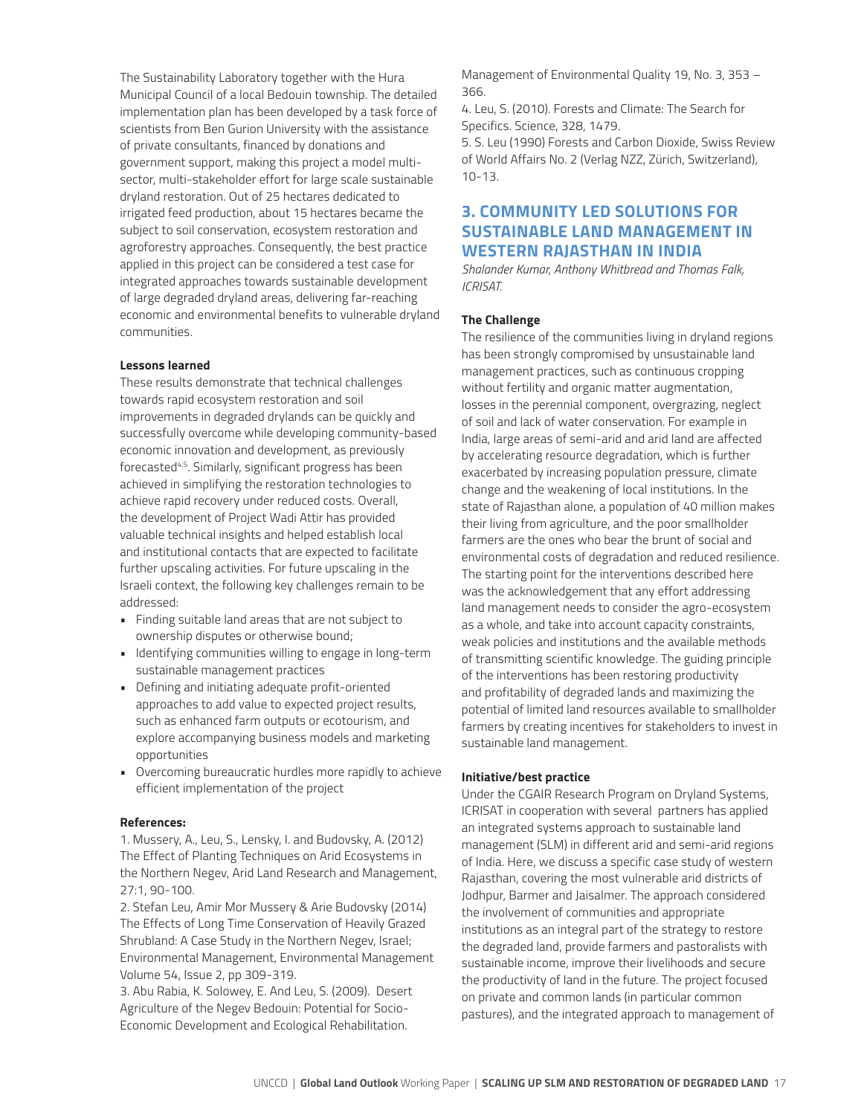The Sustainability Laboratory together with the Hura Municipal Council of a local Bedouin township. The detailed implementation plan has been developed by a task force of scientists from Ben Gurion University with the assistance of private consultants, financed by donations and government support, making this project a model multisector, multi-stakeholder effort for large scale sustainable dryland restoration. Out of 25 hectares dedicated to irrigated feed production, about 15 hectares became the subject to soil conservation, ecosystem restoration and agroforestry approaches. Consequently, the best practice applied in this project can be considered a test case for integrated approaches towards sustainable development of large degraded dryland areas, delivering far-reaching economic and environmental benefits to vulnerable dryland communities.

#### **Lessons learned**

These results demonstrate that technical challenges towards rapid ecosystem restoration and soil improvements in degraded drylands can be quickly and successfully overcome while developing community-based economic innovation and development, as previously forecasted4,5. Similarly, significant progress has been achieved in simplifying the restoration technologies to achieve rapid recovery under reduced costs. Overall, the development of Project Wadi Attir has provided valuable technical insights and helped establish local and institutional contacts that are expected to facilitate further upscaling activities. For future upscaling in the Israeli context, the following key challenges remain to be addressed:

- Finding suitable land areas that are not subject to ownership disputes or otherwise bound;
- Identifying communities willing to engage in long-term sustainable management practices
- Defining and initiating adequate profit-oriented approaches to add value to expected project results, such as enhanced farm outputs or ecotourism, and explore accompanying business models and marketing opportunities
- Overcoming bureaucratic hurdles more rapidly to achieve efficient implementation of the project

#### **References:**

1. Mussery, A., Leu, S., Lensky, I. and Budovsky, A. (2012) The Effect of Planting Techniques on Arid Ecosystems in the Northern Negev, Arid Land Research and Management, 27:1, 90-100.

2. Stefan Leu, Amir Mor Mussery & Arie Budovsky (2014) The Effects of Long Time Conservation of Heavily Grazed Shrubland: A Case Study in the Northern Negev, Israel; Environmental Management, Environmental Management Volume 54, Issue 2, pp 309-319.

3. Abu Rabia, K. Solowey, E. And Leu, S. (2009). Desert Agriculture of the Negev Bedouin: Potential for Socio-Economic Development and Ecological Rehabilitation.

Management of Environmental Quality 19, No. 3, 353 – 366.

4. Leu, S. (2010). Forests and Climate: The Search for Specifics. Science, 328, 1479.

5. S. Leu (1990) Forests and Carbon Dioxide, Swiss Review of World Affairs No. 2 (Verlag NZZ, Zürich, Switzerland), 10-13.

## **3. COMMUNITY LED SOLUTIONS FOR SUSTAINABLE LAND MANAGEMENT IN WESTERN RAJASTHAN IN INDIA**

*Shalander Kumar, Anthony Whitbread and Thomas Falk, ICRISAT.*

#### **The Challenge**

The resilience of the communities living in dryland regions has been strongly compromised by unsustainable land management practices, such as continuous cropping without fertility and organic matter augmentation, losses in the perennial component, overgrazing, neglect of soil and lack of water conservation. For example in India, large areas of semi-arid and arid land are affected by accelerating resource degradation, which is further exacerbated by increasing population pressure, climate change and the weakening of local institutions. In the state of Rajasthan alone, a population of 40 million makes their living from agriculture, and the poor smallholder farmers are the ones who bear the brunt of social and environmental costs of degradation and reduced resilience. The starting point for the interventions described here was the acknowledgement that any effort addressing land management needs to consider the agro-ecosystem as a whole, and take into account capacity constraints, weak policies and institutions and the available methods of transmitting scientific knowledge. The guiding principle of the interventions has been restoring productivity and profitability of degraded lands and maximizing the potential of limited land resources available to smallholder farmers by creating incentives for stakeholders to invest in sustainable land management.

#### **Initiative/best practice**

Under the CGAIR Research Program on Dryland Systems, ICRISAT in cooperation with several partners has applied an integrated systems approach to sustainable land management (SLM) in different arid and semi-arid regions of India. Here, we discuss a specific case study of western Rajasthan, covering the most vulnerable arid districts of Jodhpur, Barmer and Jaisalmer. The approach considered the involvement of communities and appropriate institutions as an integral part of the strategy to restore the degraded land, provide farmers and pastoralists with sustainable income, improve their livelihoods and secure the productivity of land in the future. The project focused on private and common lands (in particular common pastures), and the integrated approach to management of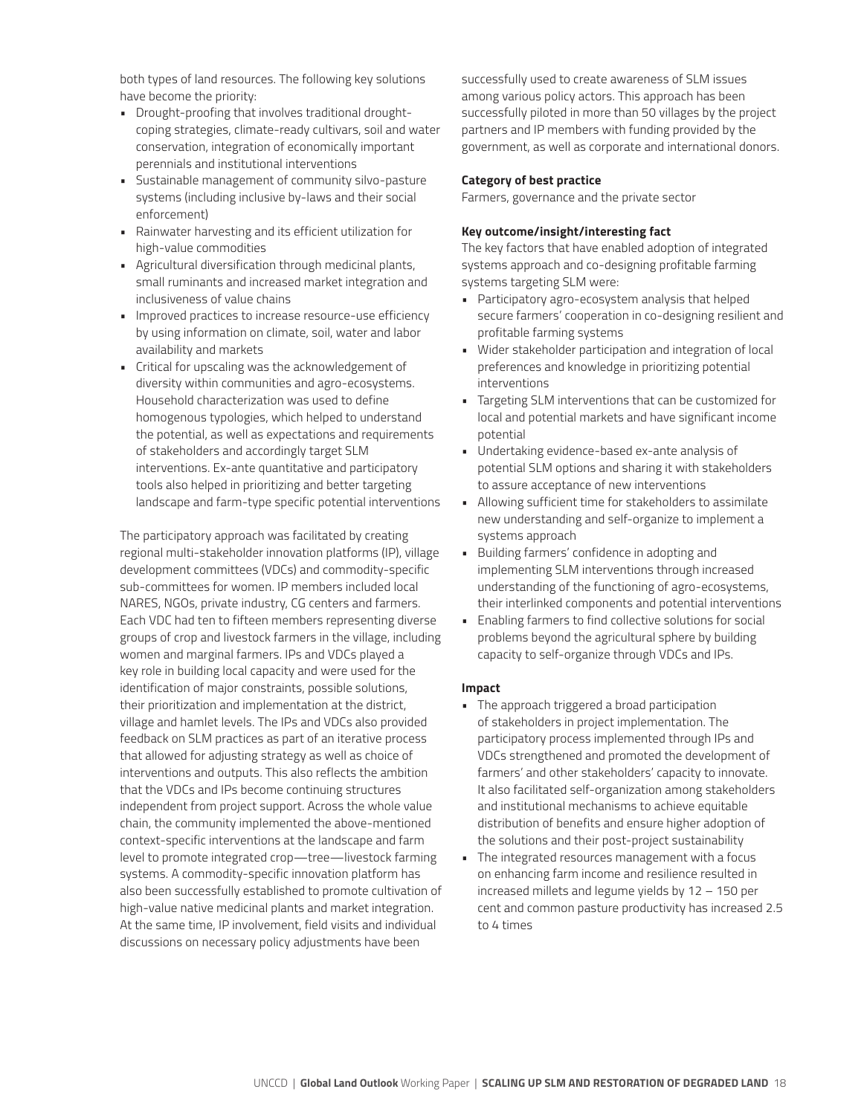both types of land resources. The following key solutions have become the priority:

- Drought-proofing that involves traditional droughtcoping strategies, climate-ready cultivars, soil and water conservation, integration of economically important perennials and institutional interventions
- Sustainable management of community silvo-pasture systems (including inclusive by-laws and their social enforcement)
- Rainwater harvesting and its efficient utilization for high-value commodities
- Agricultural diversification through medicinal plants, small ruminants and increased market integration and inclusiveness of value chains
- Improved practices to increase resource-use efficiency by using information on climate, soil, water and labor availability and markets
- Critical for upscaling was the acknowledgement of diversity within communities and agro-ecosystems. Household characterization was used to define homogenous typologies, which helped to understand the potential, as well as expectations and requirements of stakeholders and accordingly target SLM interventions. Ex-ante quantitative and participatory tools also helped in prioritizing and better targeting landscape and farm-type specific potential interventions

The participatory approach was facilitated by creating regional multi-stakeholder innovation platforms (IP), village development committees (VDCs) and commodity-specific sub-committees for women. IP members included local NARES, NGOs, private industry, CG centers and farmers. Each VDC had ten to fifteen members representing diverse groups of crop and livestock farmers in the village, including women and marginal farmers. IPs and VDCs played a key role in building local capacity and were used for the identification of major constraints, possible solutions, their prioritization and implementation at the district, village and hamlet levels. The IPs and VDCs also provided feedback on SLM practices as part of an iterative process that allowed for adjusting strategy as well as choice of interventions and outputs. This also reflects the ambition that the VDCs and IPs become continuing structures independent from project support. Across the whole value chain, the community implemented the above-mentioned context-specific interventions at the landscape and farm level to promote integrated crop—tree—livestock farming systems. A commodity-specific innovation platform has also been successfully established to promote cultivation of high-value native medicinal plants and market integration. At the same time, IP involvement, field visits and individual discussions on necessary policy adjustments have been

successfully used to create awareness of SLM issues among various policy actors. This approach has been successfully piloted in more than 50 villages by the project partners and IP members with funding provided by the government, as well as corporate and international donors.

#### **Category of best practice**

Farmers, governance and the private sector

#### **Key outcome/insight/interesting fact**

The key factors that have enabled adoption of integrated systems approach and co-designing profitable farming systems targeting SLM were:

- Participatory agro-ecosystem analysis that helped secure farmers' cooperation in co-designing resilient and profitable farming systems
- Wider stakeholder participation and integration of local preferences and knowledge in prioritizing potential interventions
- Targeting SLM interventions that can be customized for local and potential markets and have significant income potential
- Undertaking evidence-based ex-ante analysis of potential SLM options and sharing it with stakeholders to assure acceptance of new interventions
- Allowing sufficient time for stakeholders to assimilate new understanding and self-organize to implement a systems approach
- Building farmers' confidence in adopting and implementing SLM interventions through increased understanding of the functioning of agro-ecosystems, their interlinked components and potential interventions
- Enabling farmers to find collective solutions for social problems beyond the agricultural sphere by building capacity to self-organize through VDCs and IPs.

#### **Impact**

- The approach triggered a broad participation of stakeholders in project implementation. The participatory process implemented through IPs and VDCs strengthened and promoted the development of farmers' and other stakeholders' capacity to innovate. It also facilitated self-organization among stakeholders and institutional mechanisms to achieve equitable distribution of benefits and ensure higher adoption of the solutions and their post-project sustainability
- The integrated resources management with a focus on enhancing farm income and resilience resulted in increased millets and legume yields by 12 – 150 per cent and common pasture productivity has increased 2.5 to 4 times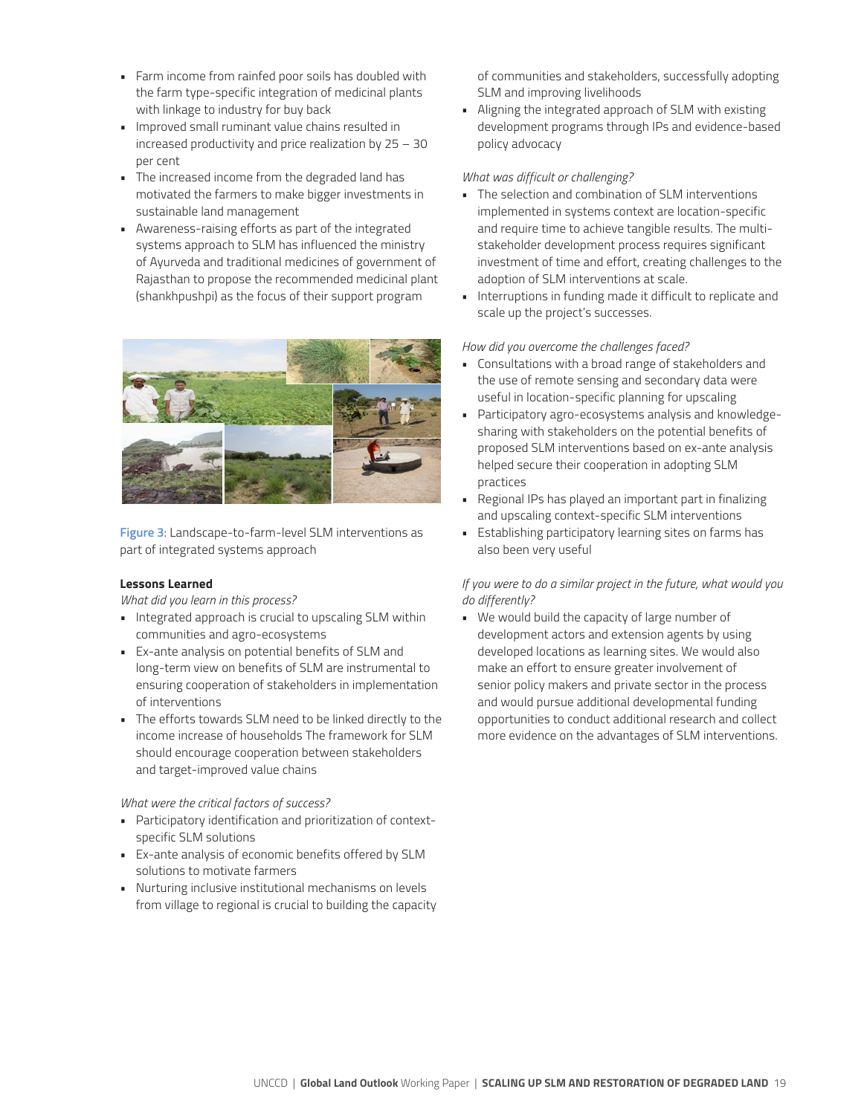- Farm income from rainfed poor soils has doubled with the farm type-specific integration of medicinal plants with linkage to industry for buy back
- Improved small ruminant value chains resulted in increased productivity and price realization by 25 – 30 per cent
- The increased income from the degraded land has motivated the farmers to make bigger investments in sustainable land management
- Awareness-raising efforts as part of the integrated systems approach to SLM has influenced the ministry of Ayurveda and traditional medicines of government of Rajasthan to propose the recommended medicinal plant (shankhpushpi) as the focus of their support program



**Figure 3**: Landscape-to-farm-level SLM interventions as part of integrated systems approach

#### **Lessons Learned**

*What did you learn in this process?* 

- Integrated approach is crucial to upscaling SLM within communities and agro-ecosystems
- Ex-ante analysis on potential benefits of SLM and long-term view on benefits of SLM are instrumental to ensuring cooperation of stakeholders in implementation of interventions
- The efforts towards SLM need to be linked directly to the income increase of households The framework for SLM should encourage cooperation between stakeholders and target-improved value chains

#### *What were the critical factors of success?*

- Participatory identification and prioritization of contextspecific SLM solutions
- Ex-ante analysis of economic benefits offered by SLM solutions to motivate farmers
- Nurturing inclusive institutional mechanisms on levels from village to regional is crucial to building the capacity

of communities and stakeholders, successfully adopting SLM and improving livelihoods

• Aligning the integrated approach of SLM with existing development programs through IPs and evidence-based policy advocacy

#### *What was difficult or challenging?*

- The selection and combination of SLM interventions implemented in systems context are location-specific and require time to achieve tangible results. The multistakeholder development process requires significant investment of time and effort, creating challenges to the adoption of SLM interventions at scale.
- Interruptions in funding made it difficult to replicate and scale up the project's successes.

#### *How did you overcome the challenges faced?*

- Consultations with a broad range of stakeholders and the use of remote sensing and secondary data were useful in location-specific planning for upscaling
- Participatory agro-ecosystems analysis and knowledgesharing with stakeholders on the potential benefits of proposed SLM interventions based on ex-ante analysis helped secure their cooperation in adopting SLM practices
- Regional IPs has played an important part in finalizing and upscaling context-specific SLM interventions
- Establishing participatory learning sites on farms has also been very useful

#### *If you were to do a similar project in the future, what would you do differently?*

• We would build the capacity of large number of development actors and extension agents by using developed locations as learning sites. We would also make an effort to ensure greater involvement of senior policy makers and private sector in the process and would pursue additional developmental funding opportunities to conduct additional research and collect more evidence on the advantages of SLM interventions.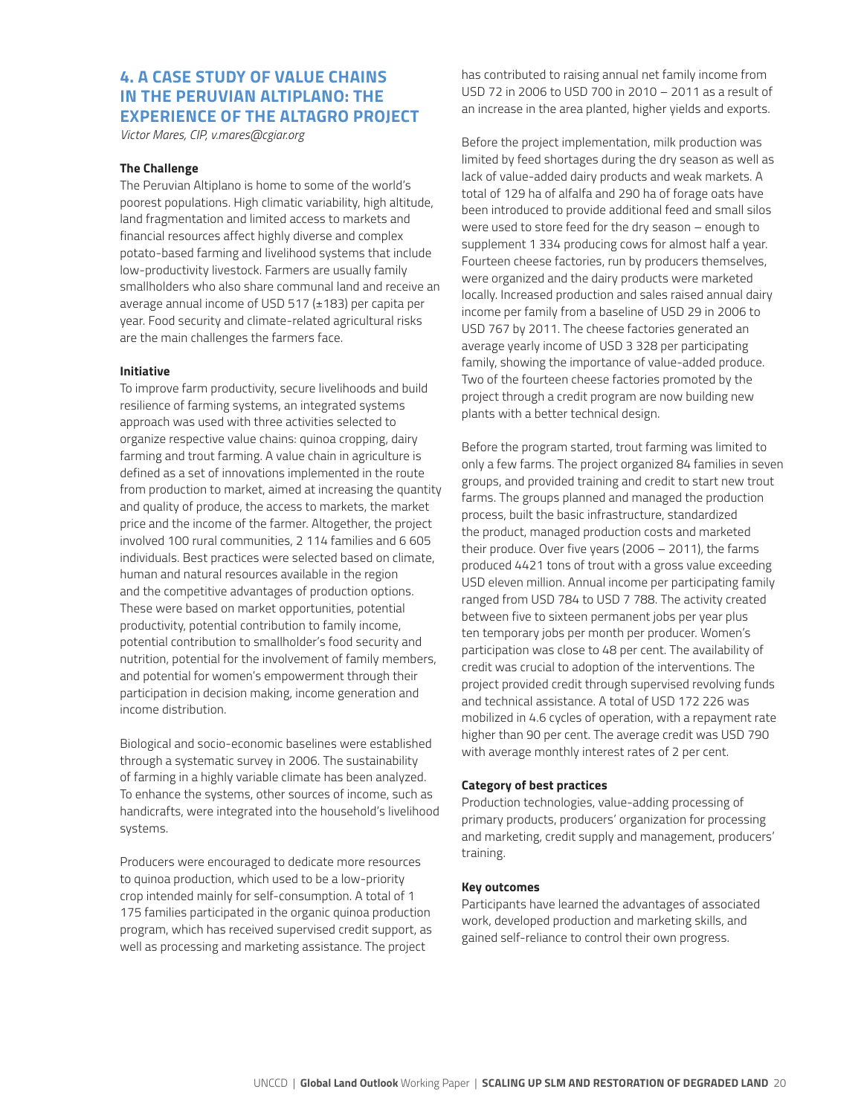## **4. A CASE STUDY OF VALUE CHAINS IN THE PERUVIAN ALTIPLANO: THE EXPERIENCE OF THE ALTAGRO PROJECT**

*Victor Mares, CIP, v.mares@cgiar.org*

#### **The Challenge**

The Peruvian Altiplano is home to some of the world's poorest populations. High climatic variability, high altitude, land fragmentation and limited access to markets and financial resources affect highly diverse and complex potato-based farming and livelihood systems that include low-productivity livestock. Farmers are usually family smallholders who also share communal land and receive an average annual income of USD 517 (±183) per capita per year. Food security and climate-related agricultural risks are the main challenges the farmers face.

#### **Initiative**

To improve farm productivity, secure livelihoods and build resilience of farming systems, an integrated systems approach was used with three activities selected to organize respective value chains: quinoa cropping, dairy farming and trout farming. A value chain in agriculture is defined as a set of innovations implemented in the route from production to market, aimed at increasing the quantity and quality of produce, the access to markets, the market price and the income of the farmer. Altogether, the project involved 100 rural communities, 2 114 families and 6 605 individuals. Best practices were selected based on climate, human and natural resources available in the region and the competitive advantages of production options. These were based on market opportunities, potential productivity, potential contribution to family income, potential contribution to smallholder's food security and nutrition, potential for the involvement of family members, and potential for women's empowerment through their participation in decision making, income generation and income distribution.

Biological and socio-economic baselines were established through a systematic survey in 2006. The sustainability of farming in a highly variable climate has been analyzed. To enhance the systems, other sources of income, such as handicrafts, were integrated into the household's livelihood systems.

Producers were encouraged to dedicate more resources to quinoa production, which used to be a low-priority crop intended mainly for self-consumption. A total of 1 175 families participated in the organic quinoa production program, which has received supervised credit support, as well as processing and marketing assistance. The project

has contributed to raising annual net family income from USD 72 in 2006 to USD 700 in 2010 – 2011 as a result of an increase in the area planted, higher yields and exports.

Before the project implementation, milk production was limited by feed shortages during the dry season as well as lack of value-added dairy products and weak markets. A total of 129 ha of alfalfa and 290 ha of forage oats have been introduced to provide additional feed and small silos were used to store feed for the dry season – enough to supplement 1 334 producing cows for almost half a year. Fourteen cheese factories, run by producers themselves, were organized and the dairy products were marketed locally. Increased production and sales raised annual dairy income per family from a baseline of USD 29 in 2006 to USD 767 by 2011. The cheese factories generated an average yearly income of USD 3 328 per participating family, showing the importance of value-added produce. Two of the fourteen cheese factories promoted by the project through a credit program are now building new plants with a better technical design.

Before the program started, trout farming was limited to only a few farms. The project organized 84 families in seven groups, and provided training and credit to start new trout farms. The groups planned and managed the production process, built the basic infrastructure, standardized the product, managed production costs and marketed their produce. Over five years (2006 – 2011), the farms produced 4421 tons of trout with a gross value exceeding USD eleven million. Annual income per participating family ranged from USD 784 to USD 7 788. The activity created between five to sixteen permanent jobs per year plus ten temporary jobs per month per producer. Women's participation was close to 48 per cent. The availability of credit was crucial to adoption of the interventions. The project provided credit through supervised revolving funds and technical assistance. A total of USD 172 226 was mobilized in 4.6 cycles of operation, with a repayment rate higher than 90 per cent. The average credit was USD 790 with average monthly interest rates of 2 per cent.

#### **Category of best practices**

Production technologies, value-adding processing of primary products, producers' organization for processing and marketing, credit supply and management, producers' training.

#### **Key outcomes**

Participants have learned the advantages of associated work, developed production and marketing skills, and gained self-reliance to control their own progress.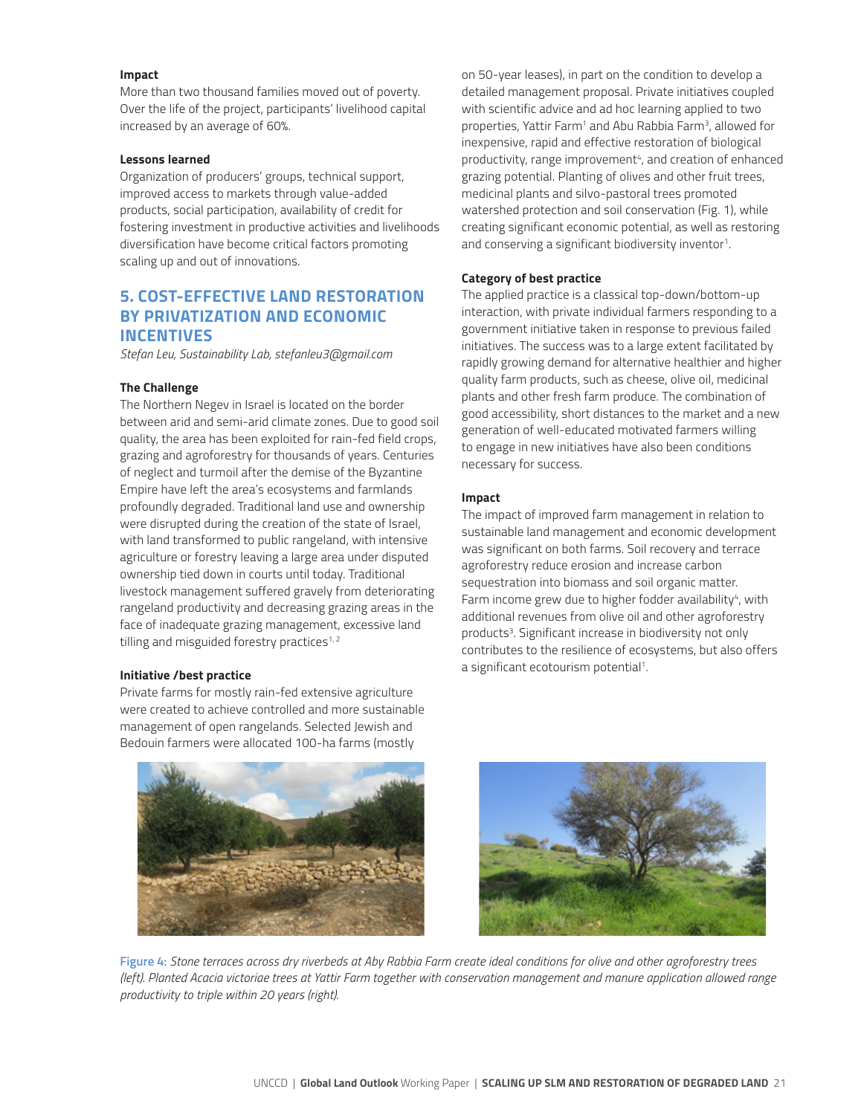#### **Impact**

More than two thousand families moved out of poverty. Over the life of the project, participants' livelihood capital increased by an average of 60%.

#### **Lessons learned**

Organization of producers' groups, technical support, improved access to markets through value-added products, social participation, availability of credit for fostering investment in productive activities and livelihoods diversification have become critical factors promoting scaling up and out of innovations.

## **5. COST-EFFECTIVE LAND RESTORATION BY PRIVATIZATION AND ECONOMIC INCENTIVES**

*Stefan Leu, Sustainability Lab, stefanleu3@gmail.com*

#### **The Challenge**

The Northern Negev in Israel is located on the border between arid and semi-arid climate zones. Due to good soil quality, the area has been exploited for rain-fed field crops, grazing and agroforestry for thousands of years. Centuries of neglect and turmoil after the demise of the Byzantine Empire have left the area's ecosystems and farmlands profoundly degraded. Traditional land use and ownership were disrupted during the creation of the state of Israel, with land transformed to public rangeland, with intensive agriculture or forestry leaving a large area under disputed ownership tied down in courts until today. Traditional livestock management suffered gravely from deteriorating rangeland productivity and decreasing grazing areas in the face of inadequate grazing management, excessive land tilling and misguided forestry practices $1, 2$ 

#### **Initiative /best practice**

Private farms for mostly rain-fed extensive agriculture were created to achieve controlled and more sustainable management of open rangelands. Selected Jewish and Bedouin farmers were allocated 100-ha farms (mostly

on 50-year leases), in part on the condition to develop a detailed management proposal. Private initiatives coupled with scientific advice and ad hoc learning applied to two properties, Yattir Farm<sup>1</sup> and Abu Rabbia Farm<sup>3</sup>, allowed for inexpensive, rapid and effective restoration of biological productivity, range improvement<sup>4</sup>, and creation of enhanced grazing potential. Planting of olives and other fruit trees, medicinal plants and silvo-pastoral trees promoted watershed protection and soil conservation (Fig. 1), while creating significant economic potential, as well as restoring and conserving a significant biodiversity inventor<sup>1</sup>.

#### **Category of best practice**

The applied practice is a classical top-down/bottom-up interaction, with private individual farmers responding to a government initiative taken in response to previous failed initiatives. The success was to a large extent facilitated by rapidly growing demand for alternative healthier and higher quality farm products, such as cheese, olive oil, medicinal plants and other fresh farm produce. The combination of good accessibility, short distances to the market and a new generation of well-educated motivated farmers willing to engage in new initiatives have also been conditions necessary for success.

#### **Impact**

The impact of improved farm management in relation to sustainable land management and economic development was significant on both farms. Soil recovery and terrace agroforestry reduce erosion and increase carbon sequestration into biomass and soil organic matter. Farm income grew due to higher fodder availability<sup>4</sup>, with additional revenues from olive oil and other agroforestry products<sup>3</sup>. Significant increase in biodiversity not only contributes to the resilience of ecosystems, but also offers a significant ecotourism potential<sup>1</sup>.





**Figure 4**: *Stone terraces across dry riverbeds at Aby Rabbia Farm create ideal conditions for olive and other agroforestry trees (left). Planted Acacia victoriae trees at Yattir Farm together with conservation management and manure application allowed range productivity to triple within 20 years (right).*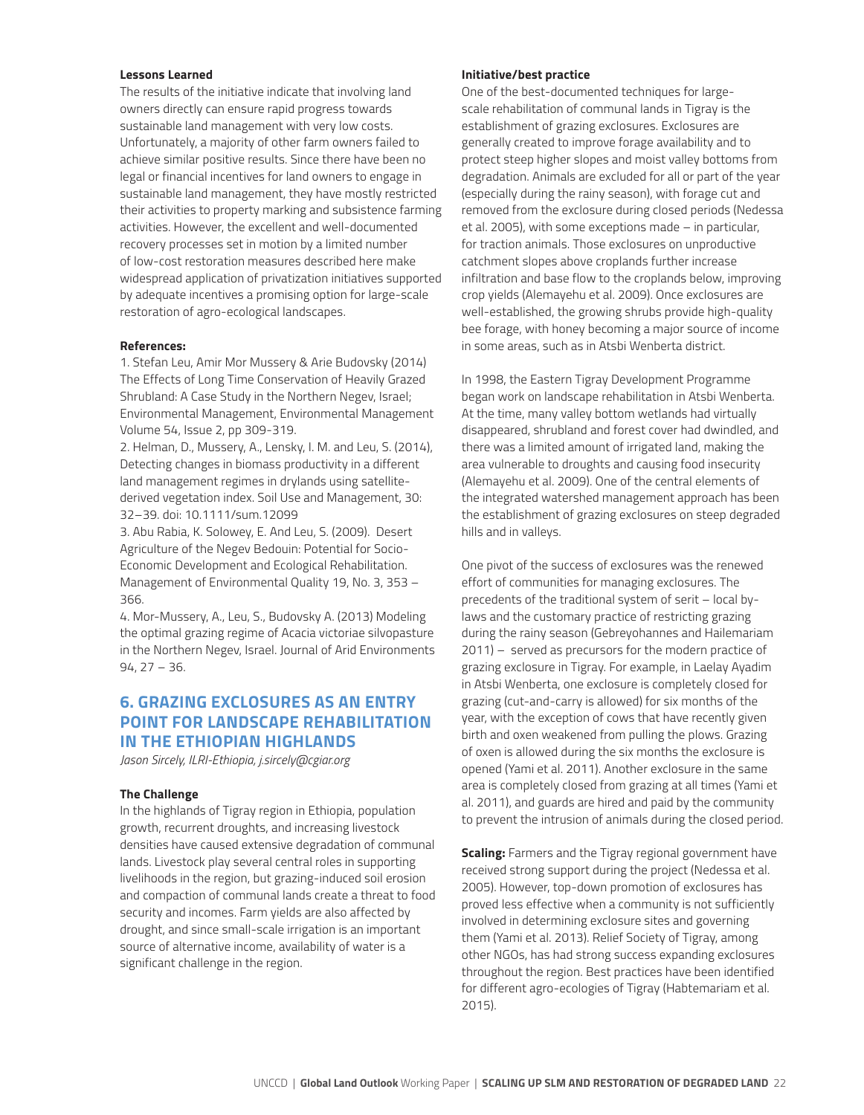#### **Lessons Learned**

The results of the initiative indicate that involving land owners directly can ensure rapid progress towards sustainable land management with very low costs. Unfortunately, a majority of other farm owners failed to achieve similar positive results. Since there have been no legal or financial incentives for land owners to engage in sustainable land management, they have mostly restricted their activities to property marking and subsistence farming activities. However, the excellent and well-documented recovery processes set in motion by a limited number of low-cost restoration measures described here make widespread application of privatization initiatives supported by adequate incentives a promising option for large-scale restoration of agro-ecological landscapes.

#### **References:**

1. Stefan Leu, Amir Mor Mussery & Arie Budovsky (2014) The Effects of Long Time Conservation of Heavily Grazed Shrubland: A Case Study in the Northern Negev, Israel; Environmental Management, Environmental Management Volume 54, Issue 2, pp 309-319.

2. Helman, D., Mussery, A., Lensky, I. M. and Leu, S. (2014), Detecting changes in biomass productivity in a different land management regimes in drylands using satellitederived vegetation index. Soil Use and Management, 30: 32–39. doi: 10.1111/sum.12099

3. Abu Rabia, K. Solowey, E. And Leu, S. (2009). Desert Agriculture of the Negev Bedouin: Potential for Socio-Economic Development and Ecological Rehabilitation. Management of Environmental Quality 19, No. 3, 353 – 366.

4. Mor-Mussery, A., Leu, S., Budovsky A. (2013) Modeling the optimal grazing regime of Acacia victoriae silvopasture in the Northern Negev, Israel. Journal of Arid Environments 94, 27 – 36.

## **6. GRAZING EXCLOSURES AS AN ENTRY POINT FOR LANDSCAPE REHABILITATION IN THE ETHIOPIAN HIGHLANDS**

*Jason Sircely, ILRI-Ethiopia, j.sircely@cgiar.org*

#### **The Challenge**

In the highlands of Tigray region in Ethiopia, population growth, recurrent droughts, and increasing livestock densities have caused extensive degradation of communal lands. Livestock play several central roles in supporting livelihoods in the region, but grazing-induced soil erosion and compaction of communal lands create a threat to food security and incomes. Farm yields are also affected by drought, and since small-scale irrigation is an important source of alternative income, availability of water is a significant challenge in the region.

#### **Initiative/best practice**

One of the best-documented techniques for largescale rehabilitation of communal lands in Tigray is the establishment of grazing exclosures. Exclosures are generally created to improve forage availability and to protect steep higher slopes and moist valley bottoms from degradation. Animals are excluded for all or part of the year (especially during the rainy season), with forage cut and removed from the exclosure during closed periods (Nedessa et al. 2005), with some exceptions made – in particular, for traction animals. Those exclosures on unproductive catchment slopes above croplands further increase infiltration and base flow to the croplands below, improving crop yields (Alemayehu et al. 2009). Once exclosures are well-established, the growing shrubs provide high-quality bee forage, with honey becoming a major source of income in some areas, such as in Atsbi Wenberta district.

In 1998, the Eastern Tigray Development Programme began work on landscape rehabilitation in Atsbi Wenberta. At the time, many valley bottom wetlands had virtually disappeared, shrubland and forest cover had dwindled, and there was a limited amount of irrigated land, making the area vulnerable to droughts and causing food insecurity (Alemayehu et al. 2009). One of the central elements of the integrated watershed management approach has been the establishment of grazing exclosures on steep degraded hills and in valleys.

One pivot of the success of exclosures was the renewed effort of communities for managing exclosures. The precedents of the traditional system of serit – local bylaws and the customary practice of restricting grazing during the rainy season (Gebreyohannes and Hailemariam 2011) – served as precursors for the modern practice of grazing exclosure in Tigray. For example, in Laelay Ayadim in Atsbi Wenberta, one exclosure is completely closed for grazing (cut-and-carry is allowed) for six months of the year, with the exception of cows that have recently given birth and oxen weakened from pulling the plows. Grazing of oxen is allowed during the six months the exclosure is opened (Yami et al. 2011). Another exclosure in the same area is completely closed from grazing at all times (Yami et al. 2011), and guards are hired and paid by the community to prevent the intrusion of animals during the closed period.

**Scaling:** Farmers and the Tigray regional government have received strong support during the project (Nedessa et al. 2005). However, top-down promotion of exclosures has proved less effective when a community is not sufficiently involved in determining exclosure sites and governing them (Yami et al. 2013). Relief Society of Tigray, among other NGOs, has had strong success expanding exclosures throughout the region. Best practices have been identified for different agro-ecologies of Tigray (Habtemariam et al. 2015).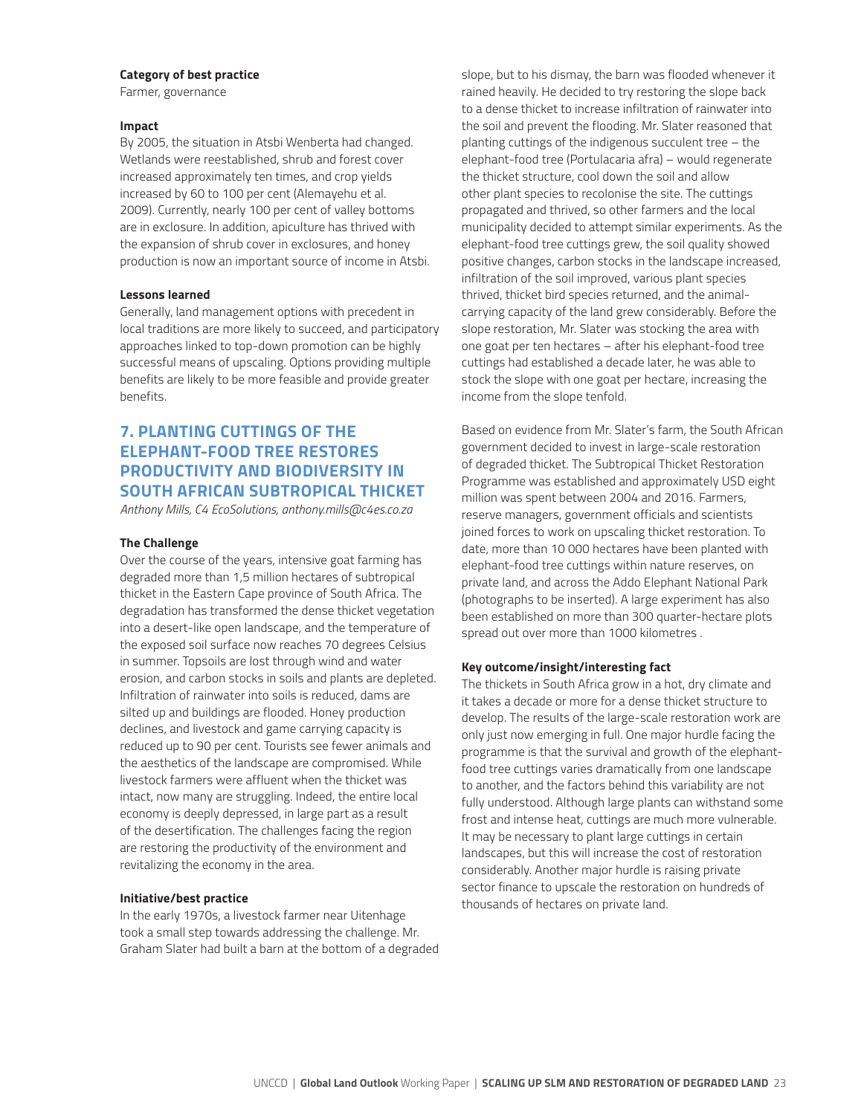#### **Category of best practice**

Farmer, governance

#### **Impact**

By 2005, the situation in Atsbi Wenberta had changed. Wetlands were reestablished, shrub and forest cover increased approximately ten times, and crop yields increased by 60 to 100 per cent (Alemayehu et al. 2009). Currently, nearly 100 per cent of valley bottoms are in exclosure. In addition, apiculture has thrived with the expansion of shrub cover in exclosures, and honey production is now an important source of income in Atsbi.

#### **Lessons learned**

Generally, land management options with precedent in local traditions are more likely to succeed, and participatory approaches linked to top-down promotion can be highly successful means of upscaling. Options providing multiple benefits are likely to be more feasible and provide greater benefits.

## **7. PLANTING CUTTINGS OF THE ELEPHANT-FOOD TREE RESTORES PRODUCTIVITY AND BIODIVERSITY IN SOUTH AFRICAN SUBTROPICAL THICKET**

*Anthony Mills, C4 EcoSolutions, anthony.mills@c4es.co.za*

#### **The Challenge**

Over the course of the years, intensive goat farming has degraded more than 1,5 million hectares of subtropical thicket in the Eastern Cape province of South Africa. The degradation has transformed the dense thicket vegetation into a desert-like open landscape, and the temperature of the exposed soil surface now reaches 70 degrees Celsius in summer. Topsoils are lost through wind and water erosion, and carbon stocks in soils and plants are depleted. Infiltration of rainwater into soils is reduced, dams are silted up and buildings are flooded. Honey production declines, and livestock and game carrying capacity is reduced up to 90 per cent. Tourists see fewer animals and the aesthetics of the landscape are compromised. While livestock farmers were affluent when the thicket was intact, now many are struggling. Indeed, the entire local economy is deeply depressed, in large part as a result of the desertification. The challenges facing the region are restoring the productivity of the environment and revitalizing the economy in the area.

#### **Initiative/best practice**

In the early 1970s, a livestock farmer near Uitenhage took a small step towards addressing the challenge. Mr. Graham Slater had built a barn at the bottom of a degraded slope, but to his dismay, the barn was flooded whenever it rained heavily. He decided to try restoring the slope back to a dense thicket to increase infiltration of rainwater into the soil and prevent the flooding. Mr. Slater reasoned that planting cuttings of the indigenous succulent tree – the elephant-food tree (Portulacaria afra) – would regenerate the thicket structure, cool down the soil and allow other plant species to recolonise the site. The cuttings propagated and thrived, so other farmers and the local municipality decided to attempt similar experiments. As the elephant-food tree cuttings grew, the soil quality showed positive changes, carbon stocks in the landscape increased, infiltration of the soil improved, various plant species thrived, thicket bird species returned, and the animalcarrying capacity of the land grew considerably. Before the slope restoration, Mr. Slater was stocking the area with one goat per ten hectares – after his elephant-food tree cuttings had established a decade later, he was able to stock the slope with one goat per hectare, increasing the income from the slope tenfold.

Based on evidence from Mr. Slater's farm, the South African government decided to invest in large-scale restoration of degraded thicket. The Subtropical Thicket Restoration Programme was established and approximately USD eight million was spent between 2004 and 2016. Farmers, reserve managers, government officials and scientists joined forces to work on upscaling thicket restoration. To date, more than 10 000 hectares have been planted with elephant-food tree cuttings within nature reserves, on private land, and across the Addo Elephant National Park (photographs to be inserted). A large experiment has also been established on more than 300 quarter-hectare plots spread out over more than 1000 kilometres .

#### **Key outcome/insight/interesting fact**

The thickets in South Africa grow in a hot, dry climate and it takes a decade or more for a dense thicket structure to develop. The results of the large-scale restoration work are only just now emerging in full. One major hurdle facing the programme is that the survival and growth of the elephantfood tree cuttings varies dramatically from one landscape to another, and the factors behind this variability are not fully understood. Although large plants can withstand some frost and intense heat, cuttings are much more vulnerable. It may be necessary to plant large cuttings in certain landscapes, but this will increase the cost of restoration considerably. Another major hurdle is raising private sector finance to upscale the restoration on hundreds of thousands of hectares on private land.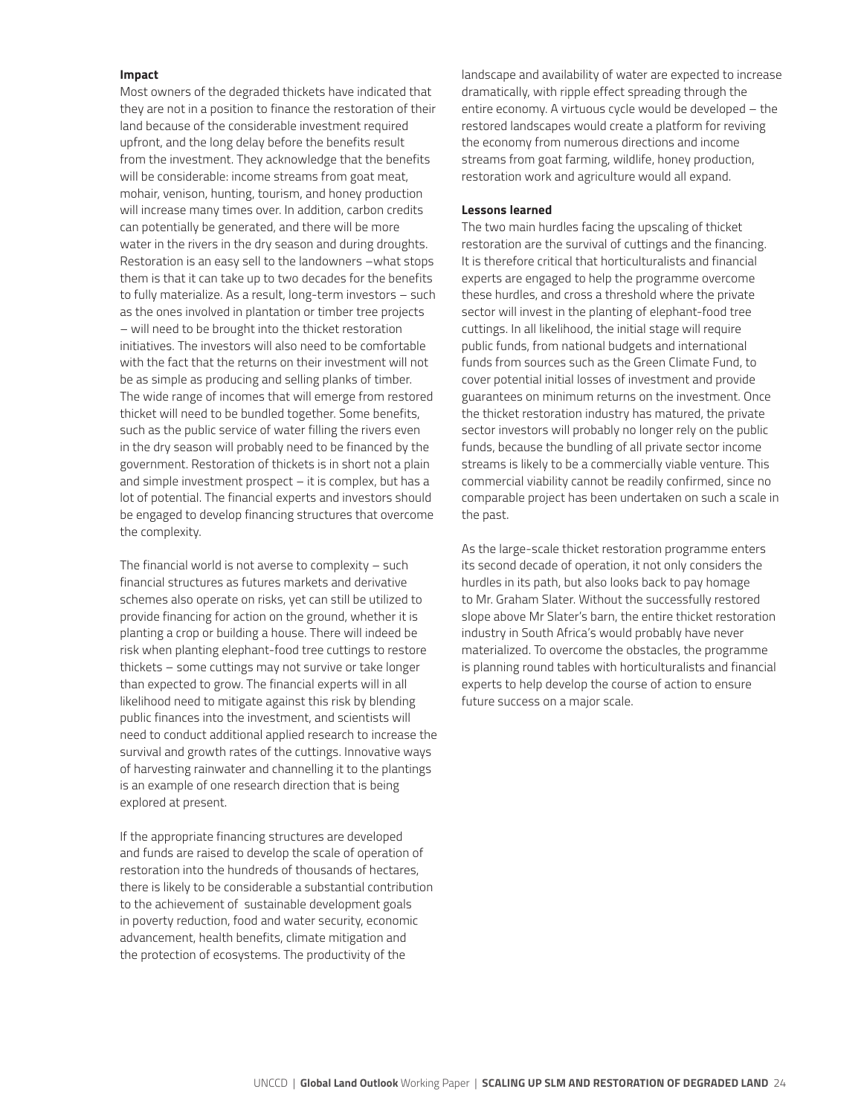#### **Impact**

Most owners of the degraded thickets have indicated that they are not in a position to finance the restoration of their land because of the considerable investment required upfront, and the long delay before the benefits result from the investment. They acknowledge that the benefits will be considerable: income streams from goat meat, mohair, venison, hunting, tourism, and honey production will increase many times over. In addition, carbon credits can potentially be generated, and there will be more water in the rivers in the dry season and during droughts. Restoration is an easy sell to the landowners –what stops them is that it can take up to two decades for the benefits to fully materialize. As a result, long-term investors – such as the ones involved in plantation or timber tree projects – will need to be brought into the thicket restoration initiatives. The investors will also need to be comfortable with the fact that the returns on their investment will not be as simple as producing and selling planks of timber. The wide range of incomes that will emerge from restored thicket will need to be bundled together. Some benefits, such as the public service of water filling the rivers even in the dry season will probably need to be financed by the government. Restoration of thickets is in short not a plain and simple investment prospect – it is complex, but has a lot of potential. The financial experts and investors should be engaged to develop financing structures that overcome the complexity.

The financial world is not averse to complexity – such financial structures as futures markets and derivative schemes also operate on risks, yet can still be utilized to provide financing for action on the ground, whether it is planting a crop or building a house. There will indeed be risk when planting elephant-food tree cuttings to restore thickets – some cuttings may not survive or take longer than expected to grow. The financial experts will in all likelihood need to mitigate against this risk by blending public finances into the investment, and scientists will need to conduct additional applied research to increase the survival and growth rates of the cuttings. Innovative ways of harvesting rainwater and channelling it to the plantings is an example of one research direction that is being explored at present.

If the appropriate financing structures are developed and funds are raised to develop the scale of operation of restoration into the hundreds of thousands of hectares, there is likely to be considerable a substantial contribution to the achievement of sustainable development goals in poverty reduction, food and water security, economic advancement, health benefits, climate mitigation and the protection of ecosystems. The productivity of the

landscape and availability of water are expected to increase dramatically, with ripple effect spreading through the entire economy. A virtuous cycle would be developed – the restored landscapes would create a platform for reviving the economy from numerous directions and income streams from goat farming, wildlife, honey production, restoration work and agriculture would all expand.

#### **Lessons learned**

The two main hurdles facing the upscaling of thicket restoration are the survival of cuttings and the financing. It is therefore critical that horticulturalists and financial experts are engaged to help the programme overcome these hurdles, and cross a threshold where the private sector will invest in the planting of elephant-food tree cuttings. In all likelihood, the initial stage will require public funds, from national budgets and international funds from sources such as the Green Climate Fund, to cover potential initial losses of investment and provide guarantees on minimum returns on the investment. Once the thicket restoration industry has matured, the private sector investors will probably no longer rely on the public funds, because the bundling of all private sector income streams is likely to be a commercially viable venture. This commercial viability cannot be readily confirmed, since no comparable project has been undertaken on such a scale in the past.

As the large-scale thicket restoration programme enters its second decade of operation, it not only considers the hurdles in its path, but also looks back to pay homage to Mr. Graham Slater. Without the successfully restored slope above Mr Slater's barn, the entire thicket restoration industry in South Africa's would probably have never materialized. To overcome the obstacles, the programme is planning round tables with horticulturalists and financial experts to help develop the course of action to ensure future success on a major scale.